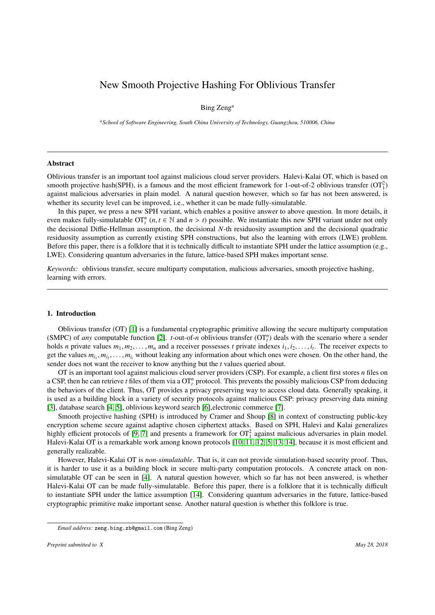# New Smooth Projective Hashing For Oblivious Transfer

## Bing Zeng<sup>a</sup>

*<sup>a</sup>School of Software Engineering, South China University of Technology, Guangzhou, 510006, China*

### Abstract

Oblivious transfer is an important tool against malicious cloud server providers. Halevi-Kalai OT, which is based on smooth projective hash(SPH), is a famous and the most efficient framework for 1-out-of-2 oblivious transfer  $(OT<sub>1</sub><sup>2</sup>)$ against malicious adversaries in plain model. A natural question however, which so far has not been answered, is whether its security level can be improved, i.e., whether it can be made fully-simulatable.

In this paper, we press a new SPH variant, which enables a positive answer to above question. In more details, it even makes fully-simulatable  $\text{OT}_t^n$   $(n, t \in \mathbb{N}$  and  $n > t$ ) possible. We instantiate this new SPH variant under not only the decisional Diffic-Hellman assumption, the decisional  $N$ -th residuosity assumption and the d the decisional Diffie-Hellman assumption, the decisional *N*-th residuosity assumption and the decisional quadratic residuosity assumption as currently existing SPH constructions, but also the learning with errors (LWE) problem. Before this paper, there is a folklore that it is technically difficult to instantiate SPH under the lattice assumption (e.g., LWE). Considering quantum adversaries in the future, lattice-based SPH makes important sense.

*Keywords:* oblivious transfer, secure multiparty computation, malicious adversaries, smooth projective hashing, learning with errors.

### 1. Introduction

Oblivious transfer (OT) [\[1\]](#page-18-0) is a fundamental cryptographic primitive allowing the secure multiparty computation (SMPC) of *any* computable function [\[2\]](#page-18-1). *t*-out-of-*n* oblivious transfer  $(OT<sub>t</sub><sup>n</sup>)$  deals with the scenario where a sender holds *n* private values  $m_1, m_2, \ldots, m_n$  and a receiver possesses *t* private indexes  $i_1, i_2, \ldots, i_t$ . The receiver expects to get the values  $m_1, m_2, \ldots, m_t$  without leaking any information about which ones were chosen get the values  $m_{i_1}, m_{i_2}, \ldots, m_{i_t}$  without leaking any information about which ones were chosen. On the other hand, the sender does not want the receiver to know anything but the t values queried about sender does not want the receiver to know anything but the *t* values queried about.

OT is an important tool against malicious cloud server providers (CSP). For example, a client first stores *n* files on a CSP, then he can retrieve *t* files of them via a  $OT_t^n$  protocol. This prevents the possibly malicious CSP from deducing the behaviors of the client. Thus, OT provides a privacy preserving way to access cloud data. Generally speaking, it is used as a building block in a variety of security protocols against malicious CSP: privacy preserving data mining [\[3\]](#page-18-2), database search [\[4,](#page-18-3) [5\]](#page-18-4), oblivious keyword search [\[6\]](#page-18-5),electronic commerce [\[7\]](#page-18-6).

Smooth projective hashing (SPH) is introduced by Cramer and Shoup [\[8\]](#page-18-7) in context of constructing public-key encryption scheme secure against adaptive chosen ciphertext attacks. Based on SPH, Halevi and Kalai generalizes highly efficient protocols of [\[9,](#page-18-8) [7\]](#page-18-6) and presents a framework for  $OT_1^2$  against malicious adversaries in plain model. Halevi-Kalai OT is a remarkable work among known protocols [\[10,](#page-18-9) [11,](#page-19-0) [12,](#page-19-1) [5,](#page-18-4) [13,](#page-19-2) [14\]](#page-19-3), because it is most efficient and generally realizable.

However, Halevi-Kalai OT is *non-simulatable*. That is, it can not provide simulation-based security proof. Thus, it is harder to use it as a building block in secure multi-party computation protocols. A concrete attack on nonsimulatable OT can be seen in [\[4\]](#page-18-3). A natural question however, which so far has not been answered, is whether Halevi-Kalai OT can be made fully-simulatable. Before this paper, there is a folklore that it is technically difficult to instantiate SPH under the lattice assumption [\[14\]](#page-19-3). Considering quantum adversaries in the future, lattice-based cryptographic primitive make important sense. Another natural question is whether this folklore is true.

*Email address:* zeng.bing.zb@gmail.com (Bing Zeng)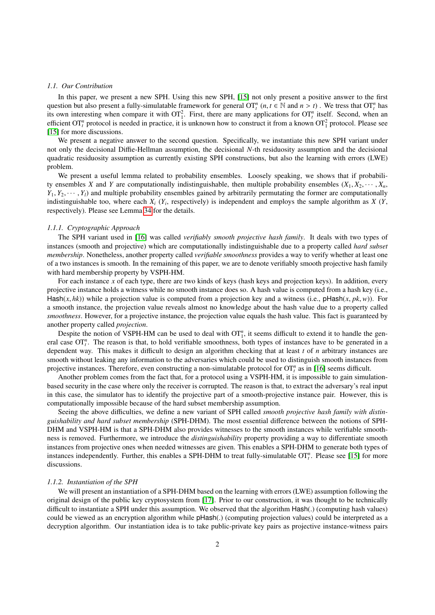### *1.1. Our Contribution*

In this paper, we present a new SPH. Using this new SPH, [\[15\]](#page-19-4) not only present a positive answer to the first question but also present a fully-simulatable framework for general  $\text{OT}_t^n$   $(n, t \in \mathbb{N}$  and  $n > t)$ . We tress that  $\text{OT}_t^n$  has its own interesting when compare it with  $OT_1^2$ . First, there are many applications for  $OT_i^n$  itself. Second, when an efficient  $\text{OT}_t^n$  protocol is needed in practice, it is unknown how to construct it from a known  $\text{OT}_1^2$  protocol. Please see [\[15\]](#page-19-4) for more discussions.

We present a negative answer to the second question. Specifically, we instantiate this new SPH variant under not only the decisional Diffie-Hellman assumption, the decisional *N*-th residuosity assumption and the decisional quadratic residuosity assumption as currently existing SPH constructions, but also the learning with errors (LWE) problem.

We present a useful lemma related to probability ensembles. Loosely speaking, we shows that if probability ensembles *X* and *Y* are computationally indistinguishable, then multiple probability ensembles  $(X_1, X_2, \dots, X_n)$  $Y_1, Y_2, \dots, Y_l$  and multiple probability ensembles gained by arbitrarily permutating the former are computationally indistinguishable too, where each *X<sup>i</sup>* (*Y<sup>i</sup>* , respectively) is independent and employs the sample algorithm as *X* (*Y*, respectively). Please see Lemma [34](#page-9-0) for the details.

### *1.1.1. Cryptographic Approach*

The SPH variant used in [\[16\]](#page-19-5) was called *verifiably smooth projective hash family*. It deals with two types of instances (smooth and projective) which are computationally indistinguishable due to a property called *hard subset membership*. Nonetheless, another property called *verifiable smoothness* provides a way to verify whether at least one of a two instances is smooth. In the remaining of this paper, we are to denote verifiably smooth projective hash family with hard membership property by VSPH-HM.

For each instance *x* of each type, there are two kinds of keys (hash keys and projection keys). In addition, every projective instance holds a witness while no smooth instance does so. A hash value is computed from a hash key (i.e., Hash( $x$ ,  $hk$ )) while a projection value is computed from a projection key and a witness (i.e., pHash( $x$ ,  $pk$ ,  $w$ )). For a smooth instance, the projection value reveals almost no knowledge about the hash value due to a property called *smoothness*. However, for a projective instance, the projection value equals the hash value. This fact is guaranteed by another property called *projection*.

Despite the notion of VSPH-HM can be used to deal with  $OT_1^n$ , it seems difficult to extend it to handle the general case  $\text{OT}_t^n$ . The reason is that, to hold verifiable smoothness, both types of instances have to be generated in a dependent way. This makes it difficult to design an algorithm checking that at least *t* of *n* arbitrary instances are smooth without leaking any information to the adversaries which could be used to distinguish smooth instances from projective instances. Therefore, even constructing a non-simulatable protocol for  $OT_t^n$  as in [\[16\]](#page-19-5) seems difficult.

Another problem comes from the fact that, for a protocol using a VSPH-HM, it is impossible to gain simulationbased security in the case where only the receiver is corrupted. The reason is that, to extract the adversary's real input in this case, the simulator has to identify the projective part of a smooth-projective instance pair. However, this is computationally impossible because of the hard subset membership assumption.

Seeing the above difficulties, we define a new variant of SPH called *smooth projective hash family with distinguishability and hard subset membership* (SPH-DHM). The most essential difference between the notions of SPH-DHM and VSPH-HM is that a SPH-DHM also provides witnesses to the smooth instances while verifiable smoothness is removed. Furthermore, we introduce the *distinguishability* property providing a way to differentiate smooth instances from projective ones when needed witnesses are given. This enables a SPH-DHM to generate both types of instances independently. Further, this enables a SPH-DHM to treat fully-simulatable  $OT<sub>t</sub><sup>n</sup>$ . Please see [\[15\]](#page-19-4) for more discussions.

### *1.1.2. Instantiation of the SPH*

We will present an instantiation of a SPH-DHM based on the learning with errors (LWE) assumption following the original design of the public key cryptosystem from [\[17\]](#page-19-6). Prior to our construction, it was thought to be technically difficult to instantiate a SPH under this assumption. We observed that the algorithm Hash(.) (computing hash values) could be viewed as an encryption algorithm while pHash(.) (computing projection values) could be interpreted as a decryption algorithm. Our instantiation idea is to take public-private key pairs as projective instance-witness pairs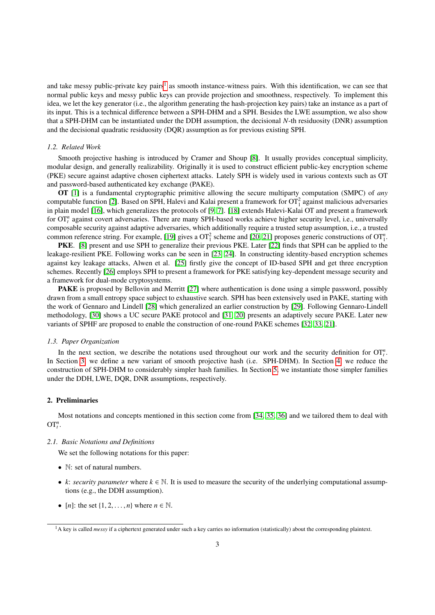and take messy public-private key pairs<sup>[1](#page-2-0)</sup> as smooth instance-witness pairs. With this identification, we can see that normal public keys and messy public keys can provide projection and smoothness, respectively. To implement this idea, we let the key generator (i.e., the algorithm generating the hash-projection key pairs) take an instance as a part of its input. This is a technical difference between a SPH-DHM and a SPH. Besides the LWE assumption, we also show that a SPH-DHM can be instantiated under the DDH assumption, the decisional *N*-th residuosity (DNR) assumption and the decisional quadratic residuosity (DQR) assumption as for previous existing SPH.

## *1.2. Related Work*

Smooth projective hashing is introduced by Cramer and Shoup [\[8\]](#page-18-7). It usually provides conceptual simplicity, modular design, and generally realizability. Originally it is used to construct efficient public-key encryption scheme (PKE) secure against adaptive chosen ciphertext attacks. Lately SPH is widely used in various contexts such as OT and password-based authenticated key exchange (PAKE).

OT [\[1\]](#page-18-0) is a fundamental cryptographic primitive allowing the secure multiparty computation (SMPC) of *any* computable function [\[2\]](#page-18-1). Based on SPH, Halevi and Kalai present a framework for  $OT_1^2$  against malicious adversaries in plain model [\[16\]](#page-19-5), which generalizes the protocols of [\[9,](#page-18-8) [7\]](#page-18-6). [\[18\]](#page-19-7) extends Halevi-Kalai OT and present a framework for OT<sup>*n*</sup> against covert adversaries. There are many SPH-based works achieve higher security level, i.e., universally composable security against adaptive adversaries, which additionally require a trusted setup assumption, i.e., a trusted common reference string. For example, [\[19\]](#page-19-8) gives a  $OT_1^2$  scheme and [\[20,](#page-19-9) [21\]](#page-19-10) proposes generic constructions of  $OT_1^n$ .

PKE. [\[8\]](#page-18-7) present and use SPH to generalize their previous PKE. Later [\[22\]](#page-19-11) finds that SPH can be applied to the leakage-resilient PKE. Following works can be seen in [\[23,](#page-19-12) [24\]](#page-19-13). In constructing identity-based encryption schemes against key leakage attacks, Alwen et al. [\[25\]](#page-19-14) firstly give the concept of ID-based SPH and get three encryption schemes. Recently [\[26\]](#page-19-15) employs SPH to present a framework for PKE satisfying key-dependent message security and a framework for dual-mode cryptosystems.

PAKE is proposed by Bellovin and Merritt [\[27\]](#page-19-16) where authentication is done using a simple password, possibly drawn from a small entropy space subject to exhaustive search. SPH has been extensively used in PAKE, starting with the work of Gennaro and Lindell [\[28\]](#page-19-17) which generalized an earlier construction by [\[29\]](#page-19-18). Following Gennaro-Lindell methodology, [\[30\]](#page-19-19) shows a UC secure PAKE protocol and [\[31,](#page-19-20) [20\]](#page-19-9) presents an adaptively secure PAKE. Later new variants of SPHF are proposed to enable the construction of one-round PAKE schemes [\[32,](#page-19-21) [33,](#page-19-22) [21\]](#page-19-10).

#### *1.3. Paper Organization*

In the next section, we describe the notations used throughout our work and the security definition for  $OT_t^n$ . In Section [3,](#page-4-0) we define a new variant of smooth projective hash (i.e. SPH-DHM). In Section [4,](#page-6-0) we reduce the construction of SPH-DHM to considerably simpler hash families. In Section [5,](#page-11-0) we instantiate those simpler families under the DDH, LWE, DQR, DNR assumptions, respectively.

### 2. Preliminaries

Most notations and concepts mentioned in this section come from [\[34,](#page-19-23) [35,](#page-19-24) [36\]](#page-19-25) and we tailored them to deal with  $OT<sub>t</sub><sup>n</sup>$ .

#### *2.1. Basic Notations and Definitions*

We set the following notations for this paper:

- N: set of natural numbers.
- *k*: *security parameter* where  $k \in \mathbb{N}$ . It is used to measure the security of the underlying computational assumptions (e.g., the DDH assumption).
- [*n*]: the set  $\{1, 2, \ldots, n\}$  where  $n \in \mathbb{N}$ .

<span id="page-2-0"></span><sup>&</sup>lt;sup>1</sup>A key is called *messy* if a ciphertext generated under such a key carries no information (statistically) about the corresponding plaintext.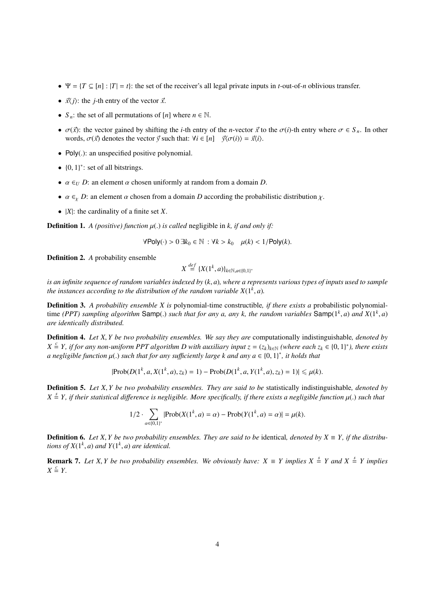- $\Psi = \{T \subseteq [n] : |T| = t\}$ : the set of the receiver's all legal private inputs in *t*-out-of-*n* oblivious transfer.
- $\vec{x}$  $\langle i \rangle$ : the *j*-th entry of the vector  $\vec{x}$ .
- $S_n$ : the set of all permutations of [*n*] where  $n \in \mathbb{N}$ .
- $\sigma(\vec{x})$ : the vector gained by shifting the *i*-th entry of the *n*-vector  $\vec{x}$  to the  $\sigma(i)$ -th entry where  $\sigma \in S_n$ . In other words,  $\sigma(\vec{x})$  denotes the vector  $\vec{y}$  such that:  $\forall i \in [n]$   $\vec{y}\langle\sigma(i)\rangle = \vec{x}\langle i\rangle$ .
- Poly(.): an unspecified positive polynomial.
- $\{0, 1\}^*$ : set of all bitstrings.
- $\alpha \in U$  *D*: an element  $\alpha$  chosen uniformly at random from a domain *D*.
- $\alpha \in Y$  *D*: an element  $\alpha$  chosen from a domain *D* according the probabilistic distribution  $\chi$ .
- |*X*|: the cardinality of a finite set *X*.

**Definition 1.** *A (positive) function*  $\mu$ (*.) is called* negligible in *k, if and only if:* 

$$
\forall \mathsf{Poly}(\cdot) > 0 \,\exists k_0 \in \mathbb{N} \, : \forall k > k_0 \quad \mu(k) < 1/\mathsf{Poly}(k).
$$

Definition 2. *A* probability ensemble

$$
X \stackrel{def}{=} \{X(1^k, a)\}_{k \in \mathbb{N}, a \in \{0,1\}^*}
$$

*is an infinite sequence of random variables indexed by* (*k*, *<sup>a</sup>*)*, where a represents various types of inputs used to sample the instances according to the distribution of the random variable*  $X(1^k, a)$ *.* 

Definition 3. *A probability ensemble X is* polynomial-time constructible*, if there exists a* probabilistic polynomialtime *(PPT)* sampling algorithm Samp(.) such that for any a, any k, the random variables Samp( $1^k$ , *a*) and  $X(1^k, a)$ <br>are identically distributed *are identically distributed.*

Definition 4. *Let X*, *Y be two probability ensembles. We say they are* computationally indistinguishable*, denoted by*  $X \subseteq Y$ , if for any non-uniform PPT algorithm D with auxiliary input  $z = (z_k)_{k \in \mathbb{N}}$  (where each  $z_k \in \{0, 1\}^*$ ), there exists<br>a negligible function  $u(x)$  such that for any sufficiently large k and any  $a \in \{0, 1\}^*$  $a$  negligible function  $\mu(.)$  such that for any sufficiently large k and any  $a \in \{0,1\}^*$ , it holds that

$$
|\text{Prob}(D(1^k, a, X(1^k, a), z_k) = 1) - \text{Prob}(D(1^k, a, Y(1^k, a), z_k) = 1)| \leq \mu(k).
$$

Definition 5. *Let X*, *Y be two probability ensembles. They are said to be* statistically indistinguishable*, denoted by*  $X \stackrel{s}{=} Y$ , *if their statistical difference is negligible. More specifically, if there exists a negligible function*  $\mu(.)$  *such that* 

$$
1/2 \cdot \sum_{\alpha \in \{0,1\}^*} |\text{Prob}(X(1^k, a) = \alpha) - \text{Prob}(Y(1^k, a) = \alpha)| = \mu(k).
$$

**Definition 6.** Let X, *Y* be two probability ensembles. They are said to be identical, denoted by  $X \equiv Y$ , if the distribu*tions of*  $X(1^k, a)$  *and*  $Y(1^k, a)$  *are identical.* 

**Remark 7.** Let X, *Y* be two probability ensembles. We obviously have:  $X \equiv Y$  implies  $X \stackrel{s}{=} Y$  and  $X \stackrel{s}{=} Y$  implies  $Y \subseteq Y$  $X \stackrel{c}{=} Y$ .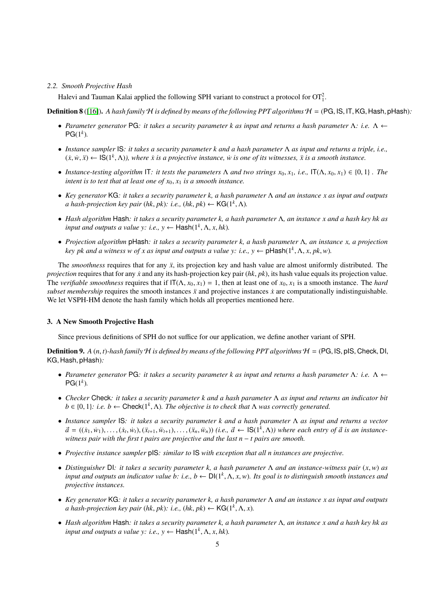### *2.2. Smooth Projective Hash*

Halevi and Tauman Kalai applied the following SPH variant to construct a protocol for  $OT_1^2$ .

**Definition 8** ([\[16\]](#page-19-5)). *A hash family*  $H$  *is defined by means of the following PPT algorithms*  $H = (PG, IS, IT, KG, Hash, pHash):$ 

- *Parameter generator* PG*: it takes a security parameter k as input and returns a hash parameter* Λ*: i.e.* Λ ←  $PG(1^k)$ .
- *Instance sampler* IS*: it takes a security parameter k and a hash parameter* Λ *as input and returns a triple, i.e.,*  $(x, w, \ddot{x}) \leftarrow \mathsf{IS}(1^k, \Lambda)$ , where  $\dot{x}$  is a projective instance,  $\dot{w}$  is one of its witnesses,  $\ddot{x}$  is a smooth instance.
- *Instance-testing algorithm* IT*: it tests the parameters*  $\Lambda$  *and two strings*  $x_0, x_1, i.e., \Pi(\Lambda, x_0, x_1) \in \{0, 1\}$ . The *intent is to test that at least one of*  $x_0$ ,  $x_1$  *is a smooth instance.*
- *Key generator* KG*: it takes a security parameter k, a hash parameter* Λ *and an instance x as input and outputs a hash-projection key pair* (*hk*, *pk*): *i.e.*, (*hk*, *pk*) ← KG( $1^k$ ,  $\Lambda$ ).
- *Hash algorithm* Hash*: it takes a security parameter k, a hash parameter* Λ*, an instance x and a hash key hk as input and outputs a value y: i.e.*,  $y \leftarrow$   $\text{Hash}(1^k, \Lambda, x, hk)$ *.*
- *Projection algorithm* pHash*: it takes a security parameter k, a hash parameter* Λ*, an instance x, a projection key pk and a witness w of x as input and outputs a value y: i.e.,*  $y \leftarrow \text{pHash}(1^k, \Lambda, x, pk, w)$ *.*

The *smoothness* requires that for any  $\ddot{x}$ , its projection key and hash value are almost uniformly distributed. The *projection* requires that for any *x* and any its hash-projection key pair (*hk*, *pk*), its hash value equals its projection value. The *verifiable smoothness* requires that if  $IT(\Lambda, x_0, x_1) = 1$ , then at least one of  $x_0, x_1$  is a smooth instance. The *hard subset membership* requires the smooth instances  $\ddot{x}$  and projective instances  $\dot{x}$  are computationally indistinguishable. We let VSPH-HM denote the hash family which holds all properties mentioned here.

### <span id="page-4-0"></span>3. A New Smooth Projective Hash

Since previous definitions of SPH do not suffice for our application, we define another variant of SPH.

<span id="page-4-1"></span>**Definition 9.** A  $(n, t)$ -hash family  $H$  is defined by means of the following PPT algorithms  $H = (PG, IS, pIS, Check, DI, c)$ KG, Hash, pHash)*:*

- *Parameter generator* PG*: it takes a security parameter k as input and returns a hash parameter* Λ*: i.e.* Λ ←  $PG(1^k)$ .
- *Checker* Check*: it takes a security parameter k and a hash parameter* Λ *as input and returns an indicator bit*  $b \in \{0, 1\}$ : *i.e.*  $b \leftarrow \text{Check}(1^k, \Lambda)$ . The objective is to check that  $\Lambda$  was correctly generated.
- *Instance sampler* IS*: it takes a security parameter k and a hash parameter* Λ *as input and returns a vector*  $\vec{a} = ((\dot{x}_1, \dot{w}_1), \dots, (\dot{x}_t, \dot{w}_t), (\ddot{x}_{t+1}, \dddot{w}_{t+1}), \dots, (\ddot{x}_n, \dddot{w}_n))$  (i.e.,  $\vec{a} \leftarrow \text{IS}(1^k, \Lambda)$ ) where each entry of  $\vec{a}$  is an instance-<br>witness pair with the first t pairs are projective and the last  $n - t$  *witness pair with the first t pairs are projective and the last n* − *t pairs are smooth.*
- *Projective instance sampler* pIS*: similar to* IS *with exception that all n instances are projective.*
- *Distinguisher* DI*: it takes a security parameter k, a hash parameter* <sup>Λ</sup> *and an instance-witness pair* (*x*,*w*) *as input and outputs an indicator value b: i.e., b* ← DI(1*<sup>k</sup>* , <sup>Λ</sup>, *<sup>x</sup>*,*w*)*. Its goal is to distinguish smooth instances and projective instances.*
- *Key generator* KG*: it takes a security parameter k, a hash parameter* Λ *and an instance x as input and outputs a hash-projection key pair* (*hk*, *pk*): *i.e.*, (*hk*, *pk*) ← **KG**(1<sup>*k*</sup>,  $\Lambda$ , *x*).
- *Hash algorithm* Hash*: it takes a security parameter k, a hash parameter* Λ*, an instance x and a hash key hk as input and outputs a value y: i.e.*,  $y \leftarrow \text{Hash}(1^k, \Lambda, x, hk)$ .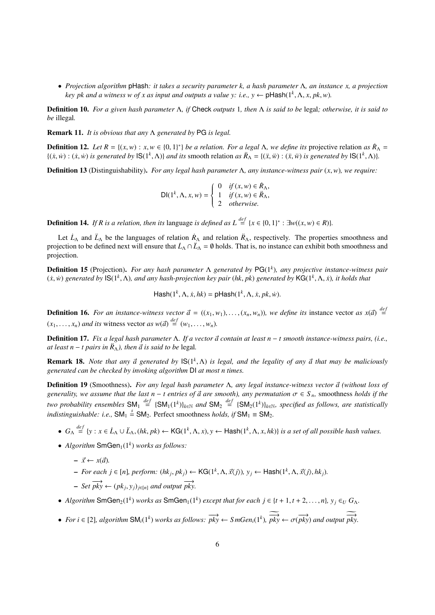• *Projection algorithm* pHash*: it takes a security parameter k, a hash parameter* Λ*, an instance x, a projection key pk and a witness w of x as input and outputs a value y: i.e.,*  $y \leftarrow \text{pHash}(1^k, \Lambda, x, pk, w)$ *.* 

Definition 10. *For a given hash parameter* Λ*, if* Check *outputs* 1*, then* Λ *is said to be* legal*; otherwise, it is said to be* illegal*.*

Remark 11. *It is obvious that any* Λ *generated by* PG *is legal.*

**Definition 12.** *Let*  $R = \{(x, w) : x, w \in \{0, 1\}^*\}$  *be a relation. For a legal*  $\Lambda$ *, we define its* projective relation *as*  $\dot{R}_{\Lambda} = \{(x, w) : (x, w) : (x, w) \}$  *s generated by*  $|S(1^k, \Lambda)|$  and *its* smooth relation *as*  $\{(x,w): (x,w) \text{ is generated by } \mathbb{S}(1^k,\Lambda)\}\$  and its smooth relation as  $\ddot{R}_{\Lambda} = \{(x,w): (x,w) \text{ is generated by } \mathbb{S}(1^k,\Lambda)\}.$ 

<span id="page-5-2"></span>Definition 13 (Distinguishability). *For any legal hash parameter* <sup>Λ</sup>*, any instance-witness pair* (*x*,*w*)*, we require:*

$$
\mathsf{DI}(1^k, \Lambda, x, w) = \begin{cases} 0 & \text{if } (x, w) \in \mathring{R}_\Lambda, \\ 1 & \text{if } (x, w) \in \mathring{R}_\Lambda, \\ 2 & \text{otherwise.} \end{cases}
$$

**Definition 14.** *If R is a relation, then its* language *is defined as*  $L \stackrel{def}{=} \{x \in \{0, 1\}^* : \exists w((x, w) \in R)\}.$ 

Let  $\dot{L}_{\Lambda}$  and  $\ddot{L}_{\Lambda}$  be the languages of relation  $\dot{R}_{\Lambda}$  and relation  $\ddot{R}_{\Lambda}$ , respectively. The properties smoothness and projection to be defined next will ensure that  $\dot{L}_\Lambda \cap \ddot{L}_\Lambda = \emptyset$  holds. That is, no instance can exhibit both smoothness and projection.

Definition 15 (Projection). *For any hash parameter* Λ *generated by* PG(1*<sup>k</sup>* )*, any projective instance-witness pair*  $(x, w)$  generated by  $\mathsf{IS}(1^k, \Lambda)$ , and any hash-projection key pair  $(hk, pk)$  generated by  $\mathsf{KG}(1^k, \Lambda, \dot{x})$ , it holds that

 $\textsf{Hash}(1^k, \Lambda, \dot{x}, \mathit{hk}) = \textsf{pHash}(1^k, \Lambda, \dot{x}, \mathit{pk}, \dot{w}).$ 

**Definition 16.** For an instance-witness vector  $\vec{a} = ((x_1, w_1), \ldots, (x_n, w_n))$ , we define its instance vector as  $x(\vec{a}) \stackrel{def}{=}$  $(x_1, \ldots, x_n)$  *and its* witness vector *as*  $w(\vec{a}) \stackrel{def}{=} (w_1, \ldots, w_n)$ .

<span id="page-5-3"></span>**Definition 17.** *Fix a legal hash parameter* Λ. *If a vector*  $\vec{a}$  *contain at least n* − *t smooth instance-witness pairs, (i.e., at least n* − *t pairs in*  $\ddot{R}_{\Lambda}$ *), then*  $\vec{a}$  *is said to be* legal.

**Remark 18.** *Note that any*  $\vec{a}$  generated by  $\text{IS}(1^k, \Lambda)$  is legal, and the legality of any  $\vec{a}$  that may be maliciously generated can be checked by invoking algorithm  $\text{DI}$  at most n times *generated can be checked by invoking algorithm* DI *at most n times.*

<span id="page-5-0"></span>**Definition 19** (Smoothness). *For any legal hash parameter* Λ, *any legal instance-witness vector*  $\vec{a}$  *(without loss of generality, we assume that the last n – t entries of*  $\vec{a}$  *are smooth), any permutation*  $\sigma \in S_n$ , smoothness *holds if the two probability ensembles*  $SM_1 \stackrel{def}{=} {SM_1(1^k)}_{k \in \mathbb{N}}$  and  $SM_2 \stackrel{def}{=} {SM_2(1^k)}_{k \in \mathbb{N}}$ , specified as follows, are statistically *indistinguishable: i.e.*,  $SM_1 \stackrel{s}{=} SM_2$ . Perfect smoothness *holds, if*  $SM_1 \equiv SM_2$ .

- $G_{\Lambda} \stackrel{def}{=} \{y : x \in L_{\Lambda} \cup L_{\Lambda}, (hk, pk) \leftarrow \mathsf{KG}(1^k, \Lambda, x), y \leftarrow \mathsf{Hash}(1^k, \Lambda, x, hk)\}$  is a set of all possible hash values.
- $Algorithm SmGen<sub>1</sub>(1<sup>k</sup>) works as follows:$ 
	- $-\vec{x} \leftarrow x(\vec{a})$ .
	- $\vdash$  *For each j* ∈ [*n*]*, perform:* (*hk<sub>j</sub>, pk<sub>j</sub>*) ← KG(1<sup>*k*</sup>, Λ,  $\vec{x}$ (*j*)*, y<sub>j</sub>* ← Hash(1<sup>*k*</sup>, Λ,  $\vec{x}$ (*j*)*, hk<sub>j</sub>).*
	- $-$  *Set*  $\overrightarrow{pky} \leftarrow (pk_j, y_j)_{j \in [n]}$  *and output*  $\overrightarrow{pky}$ .
- *Algorithm* SmGen<sub>2</sub>(1<sup>*k*</sup>) *works as* SmGen<sub>1</sub>(1<sup>*k*</sup>) *except that for each j*  $\in$  {*t* + 1, *t* + 2, . . . . , *n*}*, y<sub>j</sub>*  $\in$  *u G*<sub> $\Lambda$ </sub>.
- <span id="page-5-1"></span>• *For i*  $\in$  [2], *algorithm* SM<sub>*i*</sub>(1<sup>*k*</sup>)</sub> *works as follows:*  $\overrightarrow{pky} \leftarrow$  *SmGen<sub><i>i*</sub>(1<sup>*k*</sup>),  $\overrightarrow{pky} \leftarrow \sigma(\overrightarrow{pky})$  *and output*  $\overrightarrow{pky}$ .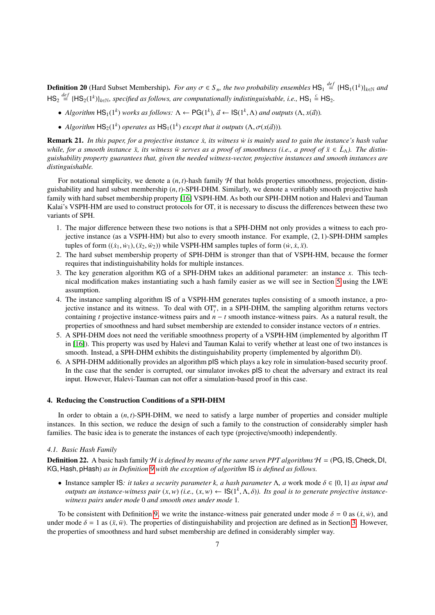**Definition 20** (Hard Subset Membership). *For any*  $\sigma \in S_n$ , the two probability ensembles  $\text{HS}_1 \stackrel{def}{=} {\text{[HS}_1(1^k)}_{k \in \mathbb{N}}$  and  $\text{[Hilb]}_k = {\text{[HS}_1(1^k)}_{k \in \mathbb{N}}$  and  $HS_2 \stackrel{def}{=} \{HS_2(1^k)\}_{k \in \mathbb{N}}$ , specified as follows, are computationally indistinguishable, i.e.,  $HS_1 \stackrel{c}{=} HS_2$ .

- *Algorithm*  $\text{HS}_1(1^k)$  *works as follows:*  $\Lambda \leftarrow \text{PG}(1^k)$ ,  $\vec{a} \leftarrow \text{IS}(1^k, \Lambda)$  *and outputs*  $(\Lambda, x(\vec{a}))$ .
- *Algorithm*  $HS_2(1^k)$  *operates as*  $HS_1(1^k)$  *except that it outputs*  $(\Lambda, \sigma(x(\vec{a})))$ *.*

Remark 21. *In this paper, for a projective instance x*, *its witness w is mainly used to gain the instance's hash value while, for a smooth instance*  $\ddot{x}$ , *its witness*  $\ddot{w}$  *serves as a proof of smoothness (i.e., a proof of*  $\ddot{x} \in L_{\lambda}$ ). The distin*guishability property guarantees that, given the needed witness-vector, projective instances and smooth instances are distinguishable.*

For notational simplicity, we denote a  $(n, t)$ -hash family  $H$  that holds properties smoothness, projection, distinguishability and hard subset membership (*n*, *<sup>t</sup>*)-SPH-DHM. Similarly, we denote a verifiably smooth projective hash family with hard subset membership property [\[16\]](#page-19-5) VSPH-HM. As both our SPH-DHM notion and Halevi and Tauman Kalai's VSPH-HM are used to construct protocols for OT, it is necessary to discuss the differences between these two variants of SPH.

- 1. The major difference between these two notions is that a SPH-DHM not only provides a witness to each projective instance (as a VSPH-HM) but also to every smooth instance. For example, (2, 1)-SPH-DHM samples tuples of form  $((\dot{x}_1, \dot{w}_1), (\ddot{x}_2, \ddot{w}_2))$  while VSPH-HM samples tuples of form  $(\dot{w}, \dot{x}, \ddot{x})$ .
- 2. The hard subset membership property of SPH-DHM is stronger than that of VSPH-HM, because the former requires that indistinguishability holds for multiple instances.
- 3. The key generation algorithm KG of a SPH-DHM takes an additional parameter: an instance *x*. This technical modification makes instantiating such a hash family easier as we will see in Section [5](#page-11-0) using the LWE assumption.
- 4. The instance sampling algorithm IS of a VSPH-HM generates tuples consisting of a smooth instance, a projective instance and its witness. To deal with  $OT<sub>t</sub><sup>n</sup>$ , in a SPH-DHM, the sampling algorithm returns vectors containing *t* projective instance-witness pairs and  $n - t$  smooth instance-witness pairs. As a natural result, the properties of smoothness and hard subset membership are extended to consider instance vectors of *n* entries.
- 5. A SPH-DHM does not need the verifiable smoothness property of a VSPH-HM (implemented by algorithm IT in [\[16\]](#page-19-5)). This property was used by Halevi and Tauman Kalai to verify whether at least one of two instances is smooth. Instead, a SPH-DHM exhibits the distinguishability property (implemented by algorithm DI).
- 6. A SPH-DHM additionally provides an algorithm pIS which plays a key role in simulation-based security proof. In the case that the sender is corrupted, our simulator invokes pIS to cheat the adversary and extract its real input. However, Halevi-Tauman can not offer a simulation-based proof in this case.

### <span id="page-6-0"></span>4. Reducing the Construction Conditions of a SPH-DHM

In order to obtain a (*n*, *<sup>t</sup>*)-SPH-DHM, we need to satisfy a large number of properties and consider multiple instances. In this section, we reduce the design of such a family to the construction of considerably simpler hash families. The basic idea is to generate the instances of each type (projective/smooth) independently.

## <span id="page-6-2"></span>*4.1. Basic Hash Family*

**Definition 22.** A basic hash family H *is defined by means of the same seven PPT algorithms*  $H = (PG, IS, Check, DI, 1)$ KG, Hash, pHash) *as in Definition [9](#page-4-1) with the exception of algorithm* IS *is defined as follows.*

• Instance sampler IS: *it takes a security parameter k, a hash parameter*  $\Lambda$ *, a work mode*  $\delta \in \{0, 1\}$  *as input and outputs an instance-witness pair*  $(x, w)$  (*i.e.,*  $(x, w) \leftarrow \text{IS}(1^k, \Lambda, \delta)$ *). Its goal is to generate projective instance-witness pairs under mode 0 and smooth ones under mode 1 witness pairs under mode* 0 *and smooth ones under mode* 1*.*

<span id="page-6-1"></span>To be consistent with Definition [9,](#page-4-1) we write the instance-witness pair generated under mode  $\delta = 0$  as  $(\dot{x}, \dot{w})$ , and under mode  $\delta = 1$  as  $(\ddot{x}, \ddot{w})$ . The properties of distinguishability and projection are defined as in Section [3.](#page-4-0) However, the properties of smoothness and hard subset membership are defined in considerably simpler way.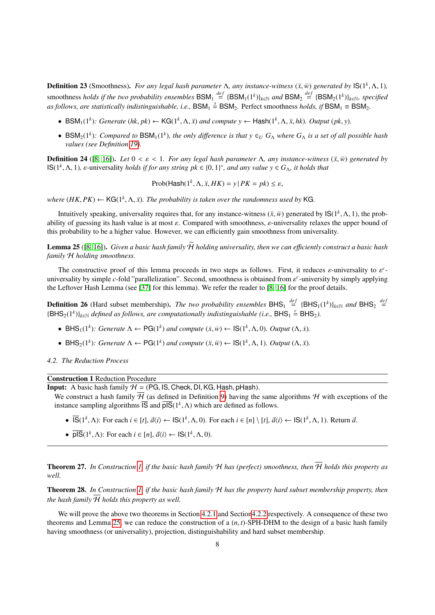**Definition 23** (Smoothness). *For any legal hash parameter* Λ, *any instance-witness* ( $\ddot{x}$ , $\dddot{w}$ ) *generated by* IS(1<sup>k</sup>, Λ, 1)*,*  $\ddot{w}$  is  $\ddot{w}$  is  $\ddot{w}$  is  $\ddot{w}$  is  $\ddot{w}$  is  $\ddot{w}$  is  $\ddot{w}$  smoothness *holds if the two probability ensembles*  $BSM_1 \stackrel{def}{=} \{BSM_1(1^k)\}_{k \in \mathbb{N}}$  and  $BSM_2 \stackrel{def}{=} \{BSM_2(1^k)\}_{k \in \mathbb{N}}$ , specified as follows, are statistically indistinguishable, i.e.,  $BSM_1 \stackrel{s}{=} BSM_2$ . Perfect smoothness *holds, if*  $BSM_1 \equiv BSM_2$ .

- BSM<sub>1</sub>(1<sup>k</sup>): Generate (hk, pk) ← KG(1<sup>k</sup>,  $\Lambda$ ,  $\ddot{x}$ ) and compute  $y \leftarrow$  Hash(1<sup>k</sup>,  $\Lambda$ ,  $\ddot{x}$ ,  $hk$ ). Output (pk, y).
- BSM<sub>2</sub>(1<sup>k</sup>): Compared to BSM<sub>1</sub>(1<sup>k</sup>), the only difference is that  $y \in U$   $G_A$  where  $G_A$  is a set of all possible hash *values (see Definition [19\)](#page-5-0).*

**Definition 24** ([\[8,](#page-18-7) [16\]](#page-19-5)). Let  $0 < ε < 1$ . For any legal hash parameter  $Λ$ , any instance-witness  $(\ddot{x}, \ddot{w})$  generated by  $\textsf{IS}(1^k, \Lambda, 1)$ , *ε*-universality *holds if for any string pk*  $\in \{0, 1\}^*$ , *and any value y*  $\in G_\Lambda$ , *it holds that* 

$$
Prob(\text{Hash}(1^k, \Lambda, \ddot{x}, HK) = y \,|\, PK = pk) \le \varepsilon,
$$

*where*  $(HK, PK) \leftarrow \mathsf{KG}(1^k, \Lambda, \ddot{x})$ *. The probability is taken over the randomness used by* KG*.* 

Intuitively speaking, universality requires that, for any instance-witness  $(\ddot{x}, \ddot{w})$  generated by  $\text{IS}(1^k, \Lambda, 1)$ , the prob-<br>ity of guessing its hash value is at most  $\varepsilon$ . Compared with smoothness,  $\varepsilon$ -universal ability of guessing its hash value is at most  $\varepsilon$ . Compared with smoothness,  $\varepsilon$ -universality relaxes the upper bound of this probability to be a higher value. However, we can efficiently gain smoothness from universality.

<span id="page-7-1"></span>Lemma 25 ([\[8,](#page-18-7) [16\]](#page-19-5)). *Given a basic hash family*  $\tilde{\mathcal{H}}$  *holding universality, then we can efficiently construct a basic hash family* H *holding smoothness.*

The constructive proof of this lemma proceeds in two steps as follows. First, it reduces  $\varepsilon$ -universality to  $\varepsilon$ <sup>c</sup>-<br>considity by simple c-fold "parallelization". Second smoothness is obtained from  $\varepsilon$ -university by universality by simple *c*-fold "parallelization". Second, smoothness is obtained from  $\varepsilon^c$ -university by simply applying<br>the Leftover Hash Lemma (see [37] for this lemma). We refer the reader to [8, 16] for the proof the Leftover Hash Lemma (see [\[37\]](#page-19-26) for this lemma). We refer the reader to [\[8,](#page-18-7) [16\]](#page-19-5) for the proof details.

<span id="page-7-4"></span>**Definition 26** (Hard subset membership). *The two probability ensembles*  $BHS_1 \stackrel{def}{=} \{BHS_1(1^k)\}_{k\in\mathbb{N}}$  and  $BHS_2 \stackrel{def}{=}$  ${BHS}_2(1^k)_{k \in \mathbb{N}}$  *defined as follows, are computationally indistinguishable (i.e.,*  $BHS_1 \stackrel{c}{=} BHS_2$ ).

- BHS<sub>1</sub>(1<sup>k</sup>): Generate  $\Lambda \leftarrow PG(1^k)$  and compute  $(\dot{x}, \dot{w}) \leftarrow IS(1^k, \Lambda, 0)$ *. Output*  $(\Lambda, \dot{x})$ *.*
- BHS<sub>2</sub>(1<sup>k</sup>): Generate  $\Lambda \leftarrow PG(1^k)$  and compute  $(\ddot{x}, \ddot{w}) \leftarrow IS(1^k, \Lambda, 1)$ *. Output*  $(\Lambda, \ddot{x})$ *.*

*4.2. The Reduction Process*

## Construction 1 Reduction Procedure

<span id="page-7-0"></span>**Input:** A basic hash family  $H = (PG, IS, Check, DI, KG, Hash, pHash)$ .

We construct a hash family  $\overline{\mathcal{H}}$  (as defined in Definition [9\)](#page-4-1) having the same algorithms  $\mathcal{H}$  with exceptions of the instance sampling algorithms  $\overline{IS}$  and  $\overline{pIS}(1^k, \Lambda)$  which are defined as follows.

- $\overline{IS}(1^k, \Lambda)$ : For each  $i \in [t], \vec{a}(i) \leftarrow \text{IS}(1^k, \Lambda, 0)$ . For each  $i \in [n] \setminus [t], \vec{a}(i) \leftarrow \text{IS}(1^k, \Lambda, 1)$ . Return  $\vec{a}$ .
- $\overline{pIS}(1^k, \Lambda)$ : For each  $i \in [n]$ ,  $\overrightarrow{a}\langle i \rangle \leftarrow \text{IS}(1^k, \Lambda, 0)$ .

<span id="page-7-2"></span>**Theorem 27.** In Construction [1,](#page-7-0) if the basic hash family  $H$  has (perfect) smoothness, then  $\overline{H}$  holds this property as *well.*

<span id="page-7-3"></span>Theorem 28. *In Construction [1,](#page-7-0) if the basic hash family* H *has the property hard subset membership property, then the hash family*  $\overline{\mathcal{H}}$  *holds this property as well.* 

We will prove the above two theorems in Section [4.2.1](#page-8-0) and Section 4.2.2 respectively. A consequence of these two theorems and Lemma [25,](#page-7-1) we can reduce the construction of a (*n*, *<sup>t</sup>*)-SPH-DHM to the design of a basic hash family having smoothness (or universality), projection, distinguishability and hard subset membership.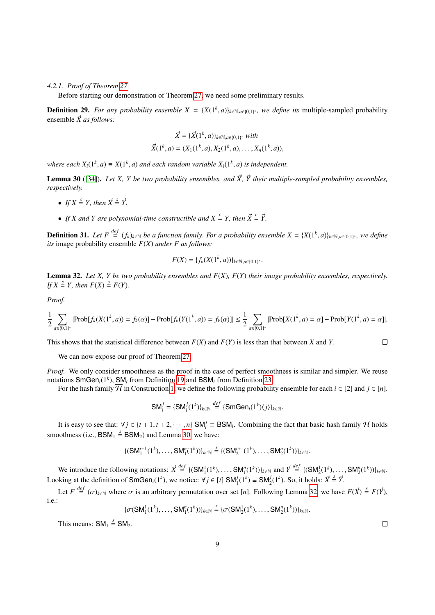<span id="page-8-0"></span>*4.2.1. Proof of Theorem [27](#page-7-2)*

Before starting our demonstration of Theorem [27,](#page-7-2) we need some preliminary results.

**Definition 29.** For any probability ensemble  $X = \{X(1^k, a)\}_{k \in \mathbb{N}, a \in \{0,1\}^*}$ , we define its multiple-sampled probability approach  $\vec{Y}$  as follows: ensemble  $\vec{X}$  *as follows:* 

$$
\vec{X} = \{\vec{X}(1^k, a)\}_{k \in \mathbb{N}, a \in \{0, 1\}^*} \text{ with}
$$

$$
\vec{X}(1^k, a) = (X_1(1^k, a), X_2(1^k, a), \dots, X_n(1^k, a)),
$$

*where each*  $X_i(1^k, a) \equiv X(1^k, a)$  *and each random variable*  $X_i(1^k, a)$  *is independent.* 

<span id="page-8-1"></span>**Lemma 30** ([\[34\]](#page-19-23)). Let X, Y be two probability ensembles, and  $\vec{X}$ ,  $\vec{Y}$  their multiple-sampled probability ensembles, *respectively.*

- *If*  $X \stackrel{s}{=} Y$ *, then*  $\vec{X} \stackrel{s}{=} \vec{Y}$ *.*
- *If X* and *Y* are polynomial-time constructible and  $X \stackrel{c}{=} Y$ , then  $\vec{X} \stackrel{c}{=} \vec{Y}$ .

**Definition 31.** Let  $F \stackrel{def}{=} (f_k)_{k \in \mathbb{N}}$  be a function family. For a probability ensemble  $X = \{X(1^k, a)\}_{k \in \mathbb{N}, a \in \{0,1\}^*}$ , we define its image probability ensemble  $F(X)$  under  $F$  as follows: *its* image probability ensemble *F*(*X*) *under F as follows:*

$$
F(X) = \{f_k(X(1^k, a))\}_{k \in \mathbb{N}, a \in \{0,1\}^*}.
$$

<span id="page-8-2"></span>Lemma 32. *Let X, Y be two probability ensembles and F*(*X*)*, F*(*Y*) *their image probability ensembles, respectively. If*  $X \stackrel{s}{=} Y$ *, then*  $F(X) \stackrel{s}{=} F(Y)$ *.* 

*Proof.*

$$
\frac{1}{2} \sum_{\alpha \in \{0,1\}^*} |\text{Prob}[f_k(X(1^k, a)) = f_k(\alpha)] - \text{Prob}[f_k(Y(1^k, a)) = f_k(\alpha)]| \le \frac{1}{2} \sum_{\alpha \in \{0,1\}^*} |\text{Prob}[X(1^k, a) = \alpha] - \text{Prob}[Y(1^k, a) = \alpha]|.
$$

This shows that the statistical difference between *F*(*X*) and *F*(*Y*) is less than that between *X* and *Y*.

We can now expose our proof of Theorem [27.](#page-7-2)

*Proof.* We only consider smoothness as the proof in the case of perfect smoothness is similar and simpler. We reuse notations SmGen*i*(1*<sup>k</sup>* ), SM*<sup>i</sup>* from Definition [19](#page-5-0) and BSM*<sup>i</sup>* from Definition [23.](#page-6-1)

For the hash family  $\overline{\mathcal{H}}$  in Construction [1,](#page-7-0) we define the following probability ensemble for each  $i \in [2]$  and  $j \in [n]$ .

$$
\mathsf{SM}_{i}^{j} = \{\mathsf{SM}_{i}^{j}(1^{k})\}_{k \in \mathbb{N}} \stackrel{\text{def}}{=} \{\mathsf{SmGen}_{i}(1^{k})\langle j \rangle\}_{k \in \mathbb{N}}.
$$

It is easy to see that:  $\forall j \in \{t + 1, t + 2, \dots, n\}$  SM<sup>*j*</sup> ≡ BSM<sub>*i*</sub>. Combining the fact that basic hash family H holds smoothness (i.e.,  $BSM_1 \stackrel{s}{=} BSM_2$ ) and Lemma [30,](#page-8-1) we have:

$$
\{(\mathsf{SM}_{1}^{t+1}(1^{k}),\ldots,\mathsf{SM}_{1}^{n}(1^{k}))\}_{k\in\mathbb{N}}\stackrel{s}{=}\{(\mathsf{SM}_{2}^{t+1}(1^{k}),\ldots,\mathsf{SM}_{2}^{n}(1^{k}))\}_{k\in\mathbb{N}}.
$$

We introduce the following notations:  $\vec{X} \stackrel{def}{=} \{ (SM_1^1(1^k), \ldots, SM_1^n(1^k)) \}_{k \in \mathbb{N}}$  and  $\vec{Y} \stackrel{def}{=} \{ (SM_2^1(1^k), \ldots, SM_2^n(1^k)) \}_{k \in \mathbb{N}}$ . Looking at the definition of SmGen<sub>*i*</sub>(1<sup>*k*</sup>), we notice:  $\forall j \in [t]$  SM<sub>1</sub><sup>*i*</sup>(1<sup>*k*</sup>)  $\equiv$  SM<sub>2</sub><sup>*i*</sup>(1<sup>*k*</sup>). So, it holds:  $\vec{X} \triangleq \vec{Y}$ .

Let  $F \stackrel{def}{=} (\sigma)_{k \in \mathbb{N}}$  where  $\sigma$  is an arbitrary permutation over set [*n*]. Following Lemma [32,](#page-8-2) we have  $F(\vec{X}) \stackrel{s}{=} F(\vec{Y})$ , i.e.:

$$
\{\sigma(SM_1^1(1^k),\ldots,SM_1^n(1^k))\}_{k\in\mathbb{N}}\stackrel{s}{=}\{\sigma(SM_2^1(1^k),\ldots,SM_2^n(1^k))\}_{k\in\mathbb{N}}.
$$

This means:  $SM_1 \stackrel{s}{=} SM_2$ .

 $\Box$ 

 $\Box$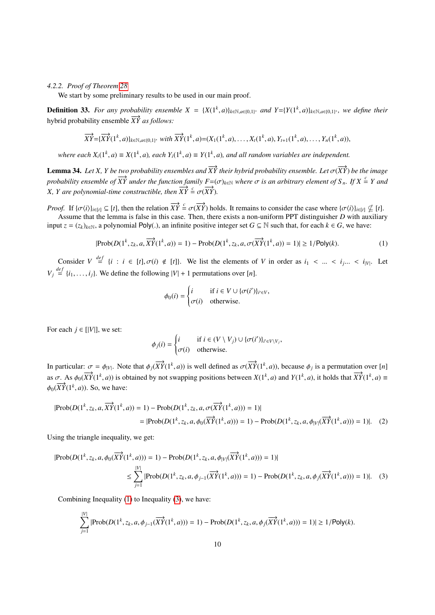### <span id="page-9-1"></span>*4.2.2. Proof of Theorem [28](#page-7-3)*

We start by some preliminary results to be used in our main proof.

**Definition 33.** For any probability ensemble  $X = {X(1^k, a)}_{k \in \mathbb{N}, a \in \{0,1\}^*}$  and  $Y = {Y(1^k, a)}_{k \in \mathbb{N}, a \in \{0,1\}^*}$ , we define their hybrid probability ensemble  $\overrightarrow{XY}$  *as follows:* 

$$
\overrightarrow{XY} = {\overrightarrow{XY}}(1^k, a)_{k \in \mathbb{N}, a \in \{0,1\}^*} with \overrightarrow{XY}(1^k, a) = (X_1(1^k, a), \dots, X_t(1^k, a), Y_{t+1}(1^k, a), \dots, Y_n(1^k, a)),
$$

*where each*  $X_i(1^k, a) \equiv X(1^k, a)$ , each  $Y_i(1^k, a) \equiv Y(1^k, a)$ , and all random variables are independent.

<span id="page-9-0"></span>**Lemma 34.** *Let X, Y be two probability ensembles and*  $\overrightarrow{XY}$  *their hybrid probability ensemble. Let*  $\sigma(\overrightarrow{XY})$  *be the image probability ensemble of*  $\overline{XY}$  *under the function family F*=( $\sigma$ )<sub>*k*∈N</sub> *where*  $\sigma$  *is an arbitrary element of*  $S_n$ *. If*  $X \stackrel{\epsilon}{=} Y$  *and X, Y are polynomial-time constructible, then*  $\overrightarrow{XY} = \sigma(\overrightarrow{XY})$ .

*Proof.* If  $\{\sigma(i)\}_{i\in [t]} \subseteq [t]$ , then the relation  $\overrightarrow{XY} = \sigma(\overrightarrow{XY})$  holds. It remains to consider the case where  $\{\sigma(i)\}_{i\in [t]} \nsubseteq [t]$ . Assume that the lemma is false in this case. Then, there exists a non-uniform PPT distinguisher *D* with auxiliary input  $z = (z_k)_{k \in \mathbb{N}}$ , a polynomial Poly(.), an infinite positive integer set  $G \subseteq \mathbb{N}$  such that, for each  $k \in G$ , we have:

$$
|\text{Prob}(D(1^k, z_k, a, \overrightarrow{XY}(1^k, a)) = 1) - \text{Prob}(D(1^k, z_k, a, \sigma(\overrightarrow{XY}(1^k, a)) = 1)| \ge 1/\text{Poly}(k).
$$
 (1)

Consider  $V \stackrel{def}{=} \{i : i \in [t], \sigma(i) \notin [t]\}$ . We list the elements of *V* in order as  $i_1 < \dots < i_j$ ... <  $i_{|V|}$ . Let  $V_j \stackrel{def}{=} \{i_1, \ldots, i_j\}$ . We define the following  $|V| + 1$  permutations over [*n*].

<span id="page-9-2"></span>
$$
\phi_0(i) = \begin{cases} i & \text{if } i \in V \cup \{\sigma(i')\}_{i' \in V}, \\ \sigma(i) & \text{otherwise.} \end{cases}
$$

For each  $j \in [|V|]$ , we set:

<span id="page-9-3"></span>
$$
\phi_j(i) = \begin{cases} i & \text{if } i \in (V \setminus V_j) \cup \{\sigma(i')\}_{i' \in V \setminus V_j}, \\ \sigma(i) & \text{otherwise.} \end{cases}
$$

In particular:  $\sigma = \phi_{|V|}$ . Note that  $\phi_j(\overrightarrow{XY}(1^k, a))$  is well defined as  $\sigma(\overrightarrow{XY}(1^k, a))$ , because  $\phi_j$  is a permutation over [*n*] as  $\sigma$ . As  $\phi_0(\overrightarrow{XY}(1^k, a))$  is obtained by not swapping positions between  $X(1^k, a)$  and  $Y(1^k, a)$ , it holds that  $\overrightarrow{XY}(1^k, a) =$  $\phi_0(\overline{XY}(1^k, a))$ . So, we have:

$$
|\text{Prob}(D(1^k, z_k, a, \overrightarrow{XY}(1^k, a)) = 1) - \text{Prob}(D(1^k, z_k, a, \sigma(\overrightarrow{XY}(1^k, a))) = 1)|
$$
  
= |\text{Prob}(D(1^k, z\_k, a, \phi\_0(\overrightarrow{XY}(1^k, a))) = 1) - \text{Prob}(D(1^k, z\_k, a, \phi\_{|V|}(\overrightarrow{XY}(1^k, a))) = 1)|. (2)

Using the triangle inequality, we get:

$$
|\text{Prob}(D(1^k, z_k, a, \phi_0(\overrightarrow{XY}(1^k, a))) = 1) - \text{Prob}(D(1^k, z_k, a, \phi_{|V|}(\overrightarrow{XY}(1^k, a))) = 1)|
$$
  

$$
\leq \sum_{j=1}^{|V|} |\text{Prob}(D(1^k, z_k, a, \phi_{j-1}(\overrightarrow{XY}(1^k, a))) = 1) - \text{Prob}(D(1^k, z_k, a, \phi_j(\overrightarrow{XY}(1^k, a))) = 1)|. \quad (3)
$$

Combining Inequality [\(1\)](#page-9-2) to Inequality [\(3\)](#page-9-3), we have:

$$
\sum_{j=1}^{|V|} |\text{Prob}(D(1^k, z_k, a, \phi_{j-1}(\overrightarrow{XY}(1^k, a))) = 1) - \text{Prob}(D(1^k, z_k, a, \phi_j(\overrightarrow{XY}(1^k, a))) = 1)| \ge 1/\text{Poly}(k).
$$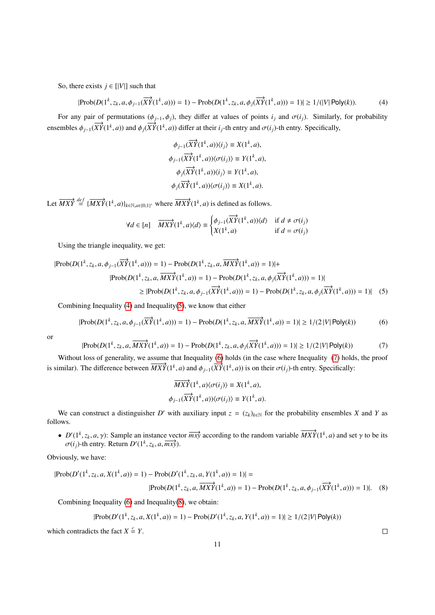So, there exists  $j \in [|V|]$  such that

$$
|\text{Prob}(D(1^k, z_k, a, \phi_{j-1}(\overrightarrow{XY}(1^k, a))) = 1) - \text{Prob}(D(1^k, z_k, a, \phi_j(\overrightarrow{XY}(1^k, a))) = 1)| \ge 1/(|V| \text{Poly}(k)).
$$
 (4)

For any pair of permutations ( $\phi_{j-1}, \phi_j$ ), they differ at values of points  $i_j$  and  $\sigma(i_j)$ . Similarly, for probability ensembles  $\phi_{j-1}(\overrightarrow{XY}(1^k, a))$  and  $\phi_j(\overrightarrow{XY}(1^k, a))$  differ at their *i<sub>j</sub>*-th entry and  $\sigma(i_j)$ -th entry. Specifically,

<span id="page-10-0"></span>
$$
\phi_{j-1}(\overrightarrow{XY}(1^k, a))\langle i_j \rangle \equiv X(1^k, a),
$$
  

$$
\phi_{j-1}(\overrightarrow{XY}(1^k, a))\langle \sigma(i_j) \rangle \equiv Y(1^k, a),
$$
  

$$
\phi_j(\overrightarrow{XY}(1^k, a))\langle i_j \rangle \equiv Y(1^k, a),
$$
  

$$
\phi_j(\overrightarrow{XY}(1^k, a))\langle \sigma(i_j) \rangle \equiv X(1^k, a).
$$

Let  $\overrightarrow{MXY} \stackrel{def}{=} {\overrightarrow{MXY}}(1^k, a)_{k \in \mathbb{N}, a \in \{0,1\}^*}$  where  $\overrightarrow{MXY}(1^k, a)$  is defined as follows.

$$
\forall d \in [n] \quad \overrightarrow{MXY}(1^k, a) \langle d \rangle \equiv \begin{cases} \phi_{j-1}(\overrightarrow{XY}(1^k, a)) \langle d \rangle & \text{if } d \neq \sigma(i_j) \\ X(1^k, a) & \text{if } d = \sigma(i_j) \end{cases}
$$

Using the triangle inequality, we get:

$$
|\text{Prob}(D(1^k, z_k, a, \phi_{j-1}(\overrightarrow{XY}(1^k, a))) = 1) - \text{Prob}(D(1^k, z_k, a, \overrightarrow{MXY}(1^k, a)) = 1)| +
$$
  
\n
$$
|\text{Prob}(D(1^k, z_k, a, \overrightarrow{MXY}(1^k, a)) = 1) - \text{Prob}(D(1^k, z_k, a, \phi_j(\overrightarrow{XY}(1^k, a))) = 1)|
$$
  
\n
$$
\geq |\text{Prob}(D(1^k, z_k, a, \phi_{j-1}(\overrightarrow{XY}(1^k, a))) = 1) - \text{Prob}(D(1^k, z_k, a, \phi_j(\overrightarrow{XY}(1^k, a))) = 1)|
$$
 (5)

Combining Inequality [\(4\)](#page-10-0) and Inequality[\(5\)](#page-10-1), we know that either

$$
|\text{Prob}(D(1^k, z_k, a, \phi_{j-1}(\overrightarrow{XY}(1^k, a))) = 1) - \text{Prob}(D(1^k, z_k, a, \overrightarrow{MXY}(1^k, a)) = 1)| \ge 1/(2|V| \text{Poly}(k))
$$
(6)

<span id="page-10-3"></span>or

$$
|\text{Prob}(D(1^k, z_k, a, \overrightarrow{MXY}(1^k, a)) = 1) - \text{Prob}(D(1^k, z_k, a, \phi_j(\overrightarrow{XY}(1^k, a))) = 1)| \ge 1/(2|V| \text{Poly}(k))
$$
(7)

Without loss of generality, we assume that Inequality [\(6\)](#page-10-2) holds (in the case where Inequality [\(7\)](#page-10-3) holds, the proof is similar). The difference between  $\overline{MXY}(1^k, a)$  and  $\phi_{j-1}(\overline{XY}(1^k, a))$  is on their  $\sigma(i_j)$ -th entry. Specifically:

<span id="page-10-2"></span><span id="page-10-1"></span>
$$
\overrightarrow{MXY}(1^k, a)\langle \sigma(i_j)\rangle \equiv X(1^k, a),
$$
  

$$
\phi_{j-1}(\overrightarrow{XY}(1^k, a))\langle \sigma(i_j)\rangle \equiv Y(1^k, a).
$$

We can construct a distinguisher *D'* with auxiliary input  $z = (z_k)_{k \in \mathbb{N}}$  for the probability ensembles *X* and *Y* as follows.

•  $D'(1^k, z_k, a, \gamma)$ : Sample an instance vector  $\overrightarrow{mx}$  according to the random variable  $\overrightarrow{MXY}(1^k, a)$  and set  $\gamma$  to be its  $\sigma(i)$ -th entry Return  $D'(1^k, z_k, a, \overrightarrow{mv}$ )  $\sigma(i_j)$ -th entry. Return  $D'(1^k, z_k, a, \overline{mxy})$ .

Obviously, we have:

$$
|\text{Prob}(D'(1^k, z_k, a, X(1^k, a)) = 1) - \text{Prob}(D'(1^k, z_k, a, Y(1^k, a)) = 1)| =
$$
  

$$
|\text{Prob}(D(1^k, z_k, a, \overline{MXY}(1^k, a)) = 1) - \text{Prob}(D(1^k, z_k, a, \phi_{j-1}(\overline{XY}(1^k, a))) = 1)|. \quad (8)
$$

Combining Inequality [\(6\)](#page-10-2) and Inequality[\(8\)](#page-10-4), we obtain:

$$
|\text{Prob}(D'(1^k, z_k, a, X(1^k, a)) = 1) - \text{Prob}(D'(1^k, z_k, a, Y(1^k, a)) = 1)| \ge 1/(2|V| \text{Poly}(k))
$$

which contradicts the fact  $X \stackrel{c}{=} Y$ .

<span id="page-10-4"></span> $\Box$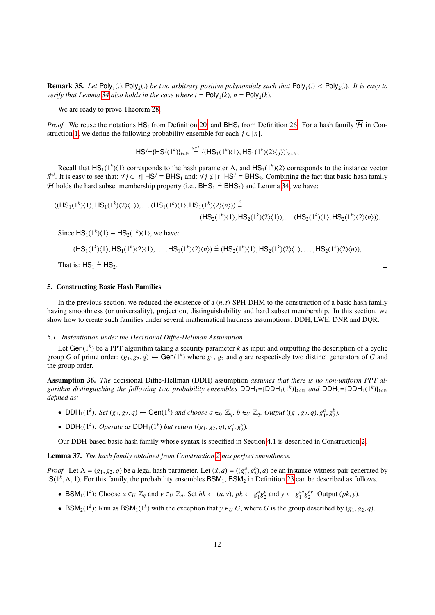**Remark 35.** Let  $Poly_1(.)$ ,  $Poly_2(.)$  be two arbitrary positive polynomials such that  $Poly_1(.) < Poly_2(.)$ . It is easy to verify that  $I$  emma 34 also holds in the case where  $t = Poly_1(k)$ ,  $n = Poly_1(k)$ . *verify that Lemma* [34](#page-9-0) *also holds in the case where t* =  $\text{Poly}_1(k)$ *, n* =  $\text{Poly}_2(k)$ *.* 

We are ready to prove Theorem [28.](#page-7-3)

*Proof.* We reuse the notations HS<sub>i</sub> from Definition [20,](#page-5-1) and BHS<sub>i</sub> from Definition [26.](#page-7-4) For a hash family  $\overline{\mathcal{H}}$  in Con-struction [1,](#page-7-0) we define the following probability ensemble for each  $j \in [n]$ .

 $\mathsf{HS}^j = {\{\mathsf{HS}^j(1^k)\}}_{k \in \mathbb{N}} \stackrel{def}{=} {\{\mathsf{(HS}_1(1^k)(1),\mathsf{HS}_1(1^k)(2)(j)\}}_{k \in \mathbb{N}},$ 

Recall that  $HS_1(1^k)\langle 1 \rangle$  corresponds to the hash parameter  $\Lambda$ , and  $HS_1(1^k)\langle 2 \rangle$  corresponds to the instance vector  $\vec{x}^{\vec{a}}$ . It is easy to see that:  $\forall j \in [t] \overline{HS}^j \equiv \overline{BHS}_1$  and:  $\forall j \notin [t] \overline{HS}^j \equiv \overline{BHS}_2$ . Combining the fact that basic hash family  $\mathcal{U}$  holds the hard subset membership property (*i.e.*  $\overline{PHS}$  is not H holds the hard subset membership property (i.e.,  $BHS_1 \stackrel{c}{=} BHS_2$ ) and Lemma [34,](#page-9-0) we have:

$$
((HS_1(1^k)\langle 1\rangle, HS_1(1^k)\langle 2\rangle\langle 1\rangle), \dots (HS_1(1^k)\langle 1\rangle, HS_1(1^k)\langle 2\rangle\langle n\rangle)) \stackrel{\mathcal{L}}{=} \\
(HS_2(1^k)\langle 1\rangle, HS_2(1^k)\langle 2\rangle\langle 1\rangle), \dots (HS_2(1^k)\langle 1\rangle, HS_2(1^k)\langle 2\rangle\langle n\rangle)).
$$

Since  $HS_1(1^k)\langle 1 \rangle \equiv HS_2(1^k)\langle 1 \rangle$ , we have:

$$
(HS_1(1^k)\langle 1\rangle, HS_1(1^k)\langle 2\rangle\langle 1\rangle, \dots, HS_1(1^k)\langle 2\rangle\langle n\rangle) \stackrel{c}{=} (HS_2(1^k)\langle 1\rangle, HS_2(1^k)\langle 2\rangle\langle 1\rangle, \dots, HS_2(1^k)\langle 2\rangle\langle n\rangle),
$$

 $\Box$ 

That is:  $HS_1 \stackrel{c}{=} HS_2$ .

## <span id="page-11-0"></span>5. Constructing Basic Hash Families

In the previous section, we reduced the existence of a  $(n, t)$ -SPH-DHM to the construction of a basic hash family having smoothness (or universality), projection, distinguishability and hard subset membership. In this section, we show how to create such families under several mathematical hardness assumptions: DDH, LWE, DNR and DQR.

### *5.1. Instantiation under the Decisional Di*ffi*e-Hellman Assumption*

Let  $Gen(1<sup>k</sup>)$  be a PPT algorithm taking a security parameter  $k$  as input and outputting the description of a cyclic group *G* of prime order:  $(g_1, g_2, q) \leftarrow$  Gen(1<sup>k</sup>) where  $g_1, g_2$  and *q* are respectively two distinct generators of *G* and the group order the group order.

Assumption 36. *The* decisional Diffie-Hellman (DDH) assumption *assumes that there is no non-uniform PPT al* $g$ *orithm distinguishing the following two probability ensembles*  $DDH_1 = {DDH_1(1^k)}_{k \in \mathbb{N}}$  *and*  $DDH_2 = {DDH_2(1^k)}_{k \in \mathbb{N}}$ *defined as:*

- DDH<sub>1</sub>(1<sup>k</sup>): Set  $(g_1, g_2, q) \leftarrow$  Gen(1<sup>k</sup>) and choose  $a \in U \mathbb{Z}_q$ ,  $b \in U \mathbb{Z}_q$ . Output  $((g_1, g_2, q), g_1^a, g_2^b)$ .
- DDH<sub>2</sub>(1<sup>k</sup>): Operate as DDH<sub>1</sub>(1<sup>k</sup>) but return (( $g_1, g_2, q$ ),  $g_1^a, g_2^a$ ).

Our DDH-based basic hash family whose syntax is specified in Section [4.1](#page-6-2) is described in Construction [2.](#page-12-0)

Lemma 37. *The hash family obtained from Construction [2](#page-12-0) has perfect smoothness.*

*Proof.* Let  $\Lambda = (g_1, g_2, q)$  be a legal hash parameter. Let  $(\ddot{x}, a) = ((g_1^a, g_2^b), a)$  be an instance-witness pair generated by  $\text{IS}(1^k \Lambda, 1)$ . For this family, the probability ensembles RSM. RSM. an Definition 23 can b  $IS(1^k, \Lambda, 1)$ . For this family, the probability ensembles  $BSM_1$ ,  $BSM_2$  in Definition [23](#page-6-1) can be described as follows.

- BSM<sub>1</sub>(1<sup>k</sup>): Choose  $u \in U \mathbb{Z}_q$  and  $v \in U \mathbb{Z}_q$ . Set  $hk \leftarrow (u, v), pk \leftarrow g_1^u g_2^v$  and  $y \leftarrow g_1^{au} g_2^{bv}$ . Output  $(pk, y)$ .
- BSM<sub>2</sub>(1<sup>*k*</sup>): Run as BSM<sub>1</sub>(1<sup>*k*</sup>) with the exception that  $y \in U$  *G*, where *G* is the group described by (*g*<sub>1</sub>, *g*<sub>2</sub>, *q*).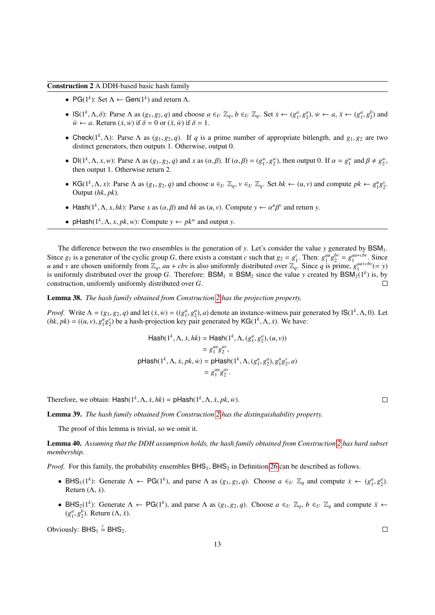<span id="page-12-0"></span>Construction 2 A DDH-based basic hash family

- PG( $1^k$ ): Set  $\Lambda \leftarrow$  Gen( $1^k$ ) and return  $\Lambda$ .
- $\mathsf{IS}(1^k, \Lambda, \delta)$ : Parse  $\Lambda$  as  $(g_1, g_2, q)$  and choose  $a \in U \mathbb{Z}_q$ ,  $b \in U \mathbb{Z}_q$ . Set  $\dot{x} \leftarrow (g_1^a, g_2^a)$ ,  $\dot{w} \leftarrow a$ ,  $\ddot{x} \leftarrow (g_1^a, g_2^b)$  and  $\ddot{w} \leftarrow a$ . Return  $(\dot{x}, \dot{w})$  if  $\delta = 0$  or  $(\ddot{x}, \ddot{w})$  i  $\ddot{w} \leftarrow a$ . Return  $(\dot{x}, \dot{w})$  if  $\delta = 0$  or  $(\ddot{x}, \ddot{w})$  if  $\delta = 1$ .
- Check( $1^k$ ,  $\Lambda$ ): Parse  $\Lambda$  as ( $g_1, g_2, q$ ). If *q* is a prime number of appropriate bitlength, and  $g_1, g_2$  are two distinct generators then outputs 1. Otherwise output 0. distinct generators, then outputs 1. Otherwise, output 0.
- $Dl(1^k, \Lambda, x, w)$ : Parse  $\Lambda$  as  $(g_1, g_2, q)$  and x as  $(\alpha, \beta)$ . If  $(\alpha, \beta) = (g_1^w, g_2^w)$ , then output 0. If  $\alpha = g_1^w$  and  $\beta \neq g_2^w$ , then output 1. Otherwise return 2 then output 1. Otherwise return 2.
- KG(1<sup>k</sup>,  $\Lambda$ , x): Parse  $\Lambda$  as  $(g_1, g_2, q)$  and choose  $u \in U \mathbb{Z}_q$ ,  $v \in U \mathbb{Z}_q$ . Set  $hk \leftarrow (u, v)$  and compute  $pk \leftarrow g_1^u g_2^v$ . Output (*hk*, *pk*).
- Hash( $1^k$ ,  $\Lambda$ ,  $x$ ,  $hk$ ): Parse  $x$  as  $(\alpha, \beta)$  and  $hk$  as  $(u, v)$ . Compute  $y \leftarrow \alpha^u$ Γ *v* and return *y*.
- pHash( $1^k$ ,  $\Lambda$ ,  $x$ ,  $pk$ ,  $w$ ): Compute  $y \leftarrow pk^w$  and output  $y$ .

The difference between the two ensembles is the generation of *y*. Let's consider the value *y* generated by  $BSM_1$ . Since  $g_1$  is a generator of the cyclic group G, there exists a constant c such that  $g_2 = g_1^c$ . Then:  $g_1^{au}g_2^{bv} = g_1^{au+cbv}$ . Since *u* and *v* are chosen uniformly from  $\mathbb{Z}_q$ ,  $au + cbv$  is also uniformly distributed over  $\mathbb{Z}_q$ . Since *q* is prime,  $g_1^{au+cbv} (= y)$ is uniformly distributed over the group *G*. Therefore: BSM<sub>1</sub>  $\equiv$  BSM<sub>2</sub> since the value *y* created by BSM<sub>2</sub>(1<sup>k</sup>) is, by construction, uniformly uniformly distributed over *G*.  $\Box$ 

Lemma 38. *The hash family obtained from Construction [2](#page-12-0) has the projection property.*

*Proof.* Write  $\Lambda = (g_1, g_2, q)$  and let  $(\dot{x}, \dot{w}) = ((g_1^a, g_2^a), a)$  denote an instance-witness pair generated by  $\text{IS}(1^k, \Lambda, 0)$ . Let  $(hk - \hbar k) = ((u, v), a^{\mu} a^{\nu})$  be a hash-projection key pair generated by  $\text{IG}(1^k, \Lambda, \dot$  $(hk, pk) = ((u, v), g_1^u g_2^v)$  be a hash-projection key pair generated by KG(1<sup>k</sup>,  $\Lambda$ , *x*). We have:

$$
\begin{aligned} \text{Hash}(1^k, \Lambda, \dot{x}, hk) &= \text{Hash}(1^k, \Lambda, (g_1^a, g_2^a), (u, v)) \\ &= g_1^{au} g_2^{av}, \\ \text{pHash}(1^k, \Lambda, \dot{x}, pk, \dot{w}) &= \text{pHash}(1^k, \Lambda, (g_1^a, g_2^a), g_1^u g_2^v, a) \\ &= g_1^{au} g_2^{av}. \end{aligned}
$$

Therefore, we obtain:  $\textsf{Hash}(1^k, \Lambda, \dot{x}, \dot{h}k) = \textsf{pHash}(1^k, \Lambda, \dot{x}, \dot{pk}, \dot{w}).$ 

Lemma 39. *The hash family obtained from Construction [2](#page-12-0) has the distinguishability property.*

The proof of this lemma is trivial, so we omit it.

Lemma 40. *Assuming that the DDH assumption holds, the hash family obtained from Construction [2](#page-12-0) has hard subset membership.*

*Proof.* For this family, the probability ensembles  $BHS_1$ ,  $BHS_2$  in Definition [26](#page-7-4) can be described as follows.

- BHS<sub>1</sub>(1<sup>k</sup>): Generate  $\Lambda \leftarrow PG(1^k)$ , and parse  $\Lambda$  as  $(g_1, g_2, q)$ . Choose  $a \in U \mathbb{Z}_q$  and compute  $\dot{x} \leftarrow (g_1^a, g_2^a)$ . Return  $(\Lambda, \dot{x})$ .
- BHS<sub>2</sub>(1<sup>k</sup>): Generate  $\Lambda \leftarrow PG(1^k)$ , and parse  $\Lambda$  as  $(g_1, g_2, q)$ . Choose  $a \in U \mathbb{Z}_q$ ,  $b \in U \mathbb{Z}_q$  and compute  $\ddot{x} \leftarrow$  $(g_1^a, g_2^b)$ . Return  $(\Lambda, \ddot{x})$ .

Obviously:  $BHS_1 \stackrel{c}{=} BHS_2$ .

 $\Box$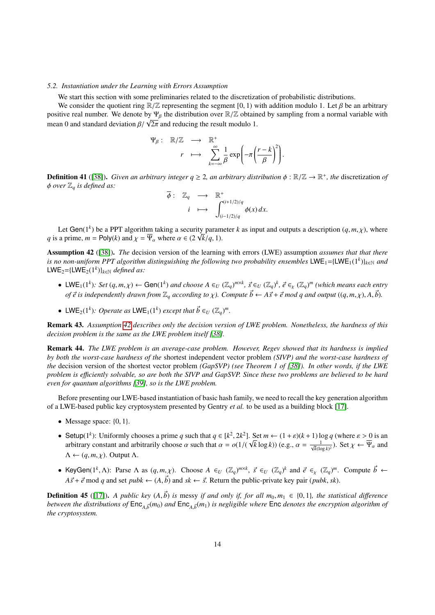### *5.2. Instantiation under the Learning with Errors Assumption*

We start this section with some preliminaries related to the discretization of probabilistic distributions.

We consider the quotient ring  $\mathbb{R}/\mathbb{Z}$  representing the segment [0, 1) with addition modulo 1. Let  $\beta$  be an arbitrary positive real number. We denote by Ψβ the distribution over  $\mathbb{R}/\mathbb{Z}$  obtained by sampling from a normal variable with positive real number. We denote by  $\mathbf{r}_{\beta}$  the distribution over  $\mathbb{R}/\mathbb{Z}$  obtain mean 0 and standard deviation  $\beta/\sqrt{2\pi}$  and reducing the result modulo 1.

$$
\Psi_{\beta}: \mathbb{R}/\mathbb{Z} \longrightarrow \mathbb{R}^+ \\
 r \longmapsto \sum_{k=-\infty}^{\infty} \frac{1}{\beta} \exp\left(-\pi \left(\frac{r-k}{\beta}\right)^2\right).
$$

**Definition 41** ([\[38\]](#page-19-27)). *Given an arbitrary integer*  $q \ge 2$ *, an arbitrary distribution*  $\phi : \mathbb{R}/\mathbb{Z} \to \mathbb{R}^+$ *, the* discretization *of*  $\phi$  and  $\phi$  and  $\phi$  and  $\phi$  are  $\mathbb{R}$  is defined as:  $\phi$  *over*  $\mathbb{Z}_q$  *is defined as:* 

$$
\overline{\phi}: \mathbb{Z}_q \longrightarrow \mathbb{R}^+ \n i \longmapsto \int_{(i-1/2)/q}^{(i+1/2)/q} \phi(x) dx.
$$

Let Gen(1<sup>k</sup>) be a PPT algorithm taking a security parameter *k* as input and outputs a description  $(q, m, \chi)$ , where  $\eta = \text{Poly}(k)$  and  $\chi = \overline{\Psi}$  where  $\alpha \in (2\sqrt{k}/q, 1)$ Let Gen( $1^{\infty}$ ) be a PP1 algorithm taking a security param *q* is a prime, *m* = Poly(*k*) and  $\chi = \overline{\Psi}_{\alpha}$  where  $\alpha \in (2 \sqrt{k}/q, 1)$ .

<span id="page-13-0"></span>Assumption 42 ([\[38\]](#page-19-27)). *The* decision version of the learning with errors (LWE) assumption *assumes that that there is no non-uniform PPT algorithm distinguishing the following two probability ensembles* LWE<sub>1</sub>={LWE<sub>1</sub>(1<sup>k</sup>)}<sub>*k*∈N *and*</sub>  $LWE_2 = {LWE_2(1^k)}_{k \in \mathbb{N}}$  *defined as:* 

- LWE<sub>1</sub>(1<sup>k</sup>): Set  $(q, m, \chi) \leftarrow$  Gen(1<sup>k</sup>) and choose  $A \in_U (\mathbb{Z}_q)^{m \times k}$ ,  $\vec{s} \in_U (\mathbb{Z}_q)^k$ ,  $\vec{e} \in_{\chi} (\mathbb{Z}_q)^m$  (which means each entry *of*  $\vec{e}$  *is independently drawn from*  $\mathbb{Z}_q$  *according to*  $\chi$ *). Compute*  $\vec{b} \leftarrow A\vec{s} + \vec{e}$  *mod* q and output  $((q, m, \chi), A, \vec{b})$ .
- LWE<sub>2</sub>(1<sup>k</sup>): Operate as LWE<sub>1</sub>(1<sup>k</sup>) except that  $\vec{b} \in U (\mathbb{Z}_q)^m$ .

Remark 43. *Assumption [42](#page-13-0) describes only the decision version of LWE problem. Nonetheless, the hardness of this decision problem is the same as the LWE problem itself [\[38\]](#page-19-27).* 

Remark 44. *The LWE problem is an average-case problem. However, Regev showed that its hardness is implied by both the worst-case hardness of the* shortest independent vector problem *(SIVP) and the worst-case hardness of the* decision version of the shortest vector problem *(GapSVP) (see Theorem 1 of [\[38\]](#page-19-27)). In other words, if the LWE problem is e*ffi*ciently solvable, so are both the SIVP and GapSVP. Since these two problems are believed to be hard even for quantum algorithms [\[39\]](#page-19-28), so is the LWE problem.*

Before presenting our LWE-based instantiation of basic hash family, we need to recall the key generation algorithm of a LWE-based public key cryptosystem presented by Gentry *et al.* to be used as a building block [\[17\]](#page-19-6).

- Message space:  $\{0, 1\}$ .
- Setup(1<sup>k</sup>): Uniformly chooses a prime *q* such that  $q \in [k^2, 2k^2]$ . Set  $m \leftarrow (1 + \varepsilon)(k + 1) \log q$  (where  $\varepsilon > 0$  is an arbitrary constant and arbitrarily choose  $\alpha$  such that  $\alpha = o(1/(\sqrt{k} \log k))$  (e.g.  $\alpha = \frac{1}{\sqrt{k}}$ ) Se arbitrary constant and arbitrarily choose  $\alpha$  such that  $\alpha = o(1/(n\Delta))$ √  $(\overline{k} \log k)$ ) (e.g.,  $\alpha = \frac{1}{\sqrt{k}(\log k)^2}$ ). Set  $\chi \leftarrow \overline{\Psi}_{\alpha}$  and  $\Lambda \leftarrow (q, m, \chi)$ . Output  $\Lambda$ .
- KeyGen(1<sup>k</sup>,  $\Lambda$ ): Parse  $\Lambda$  as  $(q, m, \chi)$ . Choose  $A \in U$  ( $\mathbb{Z}_q$ )<sup>*m*×*k*</sup>,  $\vec{s} \in U$  ( $\mathbb{Z}_q$ )<sup>*k*</sup> and  $\vec{e} \in \chi$  ( $\mathbb{Z}_q$ )<sup>*m*</sup>. Compute  $\vec{b} \leftarrow$  $A\vec{s} + \vec{e}$  mod *q* and set *pubk*  $\leftarrow (A, \vec{b})$  and  $sk \leftarrow \vec{s}$ . Return the public-private key pair (*pubk*, *sk*).

**Definition 45** ([\[17\]](#page-19-6)). *A public key*  $(A, \vec{b})$  *is* messy *if and only if, for all*  $m_0, m_1 \in \{0, 1\}$ *, the statistical difference between the distributions of*  $Enc_{A,\vec{b}}(m_0)$  *and*  $Enc_{A,\vec{b}}(m_1)$  *is negligible where*  $Enc$  *denotes the encryption algorithm of*<br>*the cryptosystem the cryptosystem.*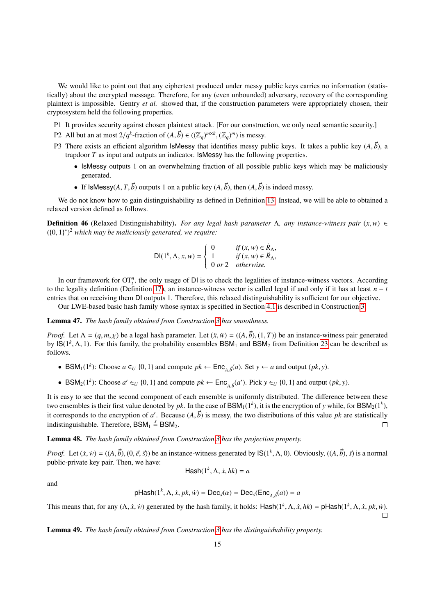We would like to point out that any ciphertext produced under messy public keys carries no information (statistically) about the encrypted message. Therefore, for any (even unbounded) adversary, recovery of the corresponding plaintext is impossible. Gentry *et al.* showed that, if the construction parameters were appropriately chosen, their cryptosystem held the following properties.

- P1 It provides security against chosen plaintext attack. [For our construction, we only need semantic security.]
- P2 All but an at most  $2/q^k$ -fraction of  $(A, \vec{b}) \in ((\mathbb{Z}_q)^{m \times k}, (\mathbb{Z}_q)^m)$  is messy.
- P3 There exists an efficient algorithm IsMessy that identifies messy public keys. It takes a public key  $(A, \vec{b})$ , a trapdoor *T* as input and outputs an indicator. IsMessy has the following properties.
	- IsMessy outputs 1 on an overwhelming fraction of all possible public keys which may be maliciously generated.
	- If IsMessy( $A, T, \vec{b}$ ) outputs 1 on a public key  $(A, \vec{b})$ , then  $(A, \vec{b})$  is indeed messy.

We do not know how to gain distinguishability as defined in Definition [13.](#page-5-2) Instead, we will be able to obtained a relaxed version defined as follows.

**Definition 46** (Relaxed Distinguishability). *For any legal hash parameter*  $\Lambda$ , *any instance-witness pair*  $(x, w) \in$ ({0, <sup>1</sup>} ∗ ) <sup>2</sup> *which may be maliciously generated, we require:*

$$
\mathsf{DI}(1^k, \Lambda, x, w) = \begin{cases} 0 & \text{if } (x, w) \in \mathbb{R}_\Lambda, \\ 1 & \text{if } (x, w) \in \mathbb{R}_\Lambda, \\ 0 \text{ or } 2 & \text{otherwise.} \end{cases}
$$

In our framework for  $OT<sub>t</sub><sup>n</sup>$ , the only usage of DI is to check the legalities of instance-witness vectors. According to the legality definition (Definition [17\)](#page-5-3), an instance-witness vector is called legal if and only if it has at least  $n - t$ entries that on receiving them DI outputs 1. Therefore, this relaxed distinguishability is sufficient for our objective.

Our LWE-based basic hash family whose syntax is specified in Section [4.1](#page-6-2) is described in Construction [3.](#page-15-0)

### Lemma 47. *The hash family obtained from Construction [3](#page-15-0) has smoothness.*

*Proof.* Let  $\Lambda = (q, m, \chi)$  be a legal hash parameter. Let  $(\ddot{x}, \ddot{w}) = ((A, \vec{b}), (1, T))$  be an instance-witness pair generated by  $\text{IS}(1^k, \Lambda, 1)$ . For this family, the probability ensembles  $\text{BSM}_1$  and  $\text{BSM}_2$  from Definition [23](#page-6-1) can be described as follows follows.

- BSM<sub>1</sub>(1<sup>*k*</sup>): Choose  $a \in U$  {0, 1} and compute  $pk \leftarrow \text{Enc}_{A, \vec{b}}(a)$ . Set  $y \leftarrow a$  and output  $(pk, y)$ .
- BSM<sub>2</sub>(1<sup>*k*</sup>): Choose *a'* ∈*U* {0, 1} and compute  $pk$  ← Enc<sub>*A*, $\vec{b}$ </sub>(*a'*). Pick *y* ∈*U* {0, 1} and output (*pk*, *y*).

It is easy to see that the second component of each ensemble is uniformly distributed. The difference between these two ensembles is their first value denoted by *pk*. In the case of  $\text{BSM}_1(1^k)$ , it is the encryption of *y* while, for  $\text{BSM}_2(1^k)$ , it corresponds to the encryption of *a'*. Because  $(A, \vec{b})$  is messy, the two distributions of this value *pk* are statistically indistinguishable. Therefore,  $BSM_1 \stackrel{s}{=} BSM_2$ .

## Lemma 48. *The hash family obtained from Construction [3](#page-15-0) has the projection property.*

*Proof.* Let  $(\dot{x}, \dot{w}) = ((A, \vec{b}), (0, \vec{e}, \vec{s}))$  be an instance-witness generated by  $\mathsf{IS}(1^k, \Lambda, 0)$ . Obviously,  $((A, \vec{b}), \vec{s})$  is a normal public-private key pair. Then, we have: public-private key pair. Then, we have:

$$
\mathsf{Hash}(1^k, \Lambda, \dot{x}, hk) = a
$$

and

pHash
$$
(1^k, \Lambda, \dot{x}, pk, \dot{w}) = \text{Dec}_{\vec{s}}(\alpha) = \text{Dec}_{\vec{s}}(\text{Enc}_{A, \vec{b}}(a)) = a
$$

This means that, for any  $(\Lambda, \dot{x}, \dot{w})$  generated by the hash family, it holds: Hash $(1^k, \Lambda, \dot{x}, hk) = p$ Hash $(1^k, \Lambda, \dot{x}, pk, \dot{w})$ .

Lemma 49. *The hash family obtained from Construction [3](#page-15-0) has the distinguishability property.*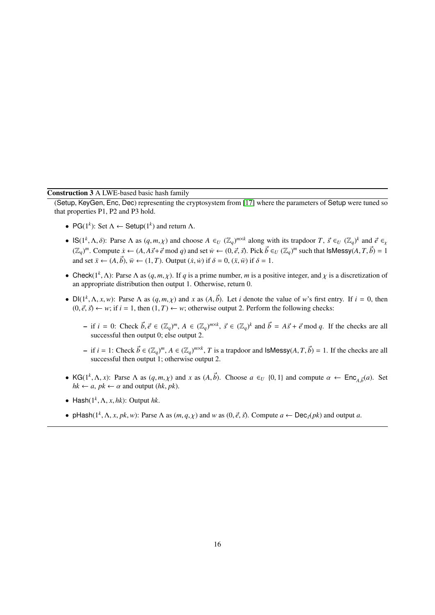## Construction 3 A LWE-based basic hash family

<span id="page-15-0"></span>(Setup, KeyGen, Enc, Dec) representing the cryptosystem from [\[17\]](#page-19-6) where the parameters of Setup were tuned so that properties P1, P2 and P3 hold.

- PG( $1^k$ ): Set  $\Lambda \leftarrow$  Setup( $1^k$ ) and return  $\Lambda$ .
- IS( $1^k$ ,  $\Lambda$ ,  $\delta$ ): Parse  $\Lambda$  as  $(q, m, \chi)$  and choose  $A \in U$  ( $\mathbb{Z}_q$ )<sup> $m \times k$ </sup> along with its trapdoor  $T$ ,  $\vec{s} \in U$  ( $\mathbb{Z}_q$ )<sup>k</sup> and  $\vec{e} \in \mathbb{Z}_q$ <br>( $\mathbb{Z}_q$ )<sup>*m*</sup> Compute  $\dot{x} \in (A \setminus A \times \vec{s})$  and  $\epsilon$ ) and  $(\mathbb{Z}_q)^m$ . Compute  $\dot{x} \leftarrow (A, A\vec{s} + \vec{e} \mod q)$  and set  $\dot{w} \leftarrow (0, \vec{e}, \vec{s})$ . Pick  $\vec{b} \in U$   $(\mathbb{Z}_q)^m$  such that  $|s\text{Messy}(A, T, \vec{b})| = 1$ and set  $\ddot{x} \leftarrow (A, \vec{b})$ ,  $\ddot{w} \leftarrow (1, T)$ . Output  $(\dot{x}, \dot{w})$  if  $\delta = 0$ ,  $(\ddot{x}, \ddot{w})$  if  $\delta = 1$ .
- Check( $1^k$ ,  $\Lambda$ ): Parse  $\Lambda$  as  $(q, m, \chi)$ . If *q* is a prime number, *m* is a positive integer, and  $\chi$  is a discretization of an appropriate distribution then output 1. Otherwise, return 0. an appropriate distribution then output 1. Otherwise, return 0.
- $Dl(1^k, \Lambda, x, w)$ : Parse  $\Lambda$  as  $(q, m, \chi)$  and  $x$  as  $(A, \vec{b})$ . Let *i* denote the value of *w*'s first entry. If  $i = 0$ , then  $(0, \vec{a}, \vec{b}) \leftarrow w$ : of the rule of  $T \leftarrow w$ : otherwise output 2. Perform the following check  $(0, \vec{e}, \vec{s}) \leftarrow w$ ; if  $i = 1$ , then  $(1, T) \leftarrow w$ ; otherwise output 2. Perform the following checks:
	- if  $i = 0$ : Check  $\vec{b}, \vec{e} \in (\mathbb{Z}_q)^m$ ,  $A \in (\mathbb{Z}_q)^{m \times k}$ ,  $\vec{s} \in (\mathbb{Z}_q)^k$  and  $\vec{b} = A\vec{s} + \vec{e} \mod q$ . If the checks are all successful then output 0; else output 2 successful then output 0; else output 2.
	- $\vec{b}$  if *i* = 1: Check  $\vec{b}$  ∈ ( $\mathbb{Z}_q$ )<sup>*m*, *A* ∈ ( $\mathbb{Z}_q$ )<sup>*m*×*k*</sup>, *T* is a trapdoor and IsMessy(*A*, *T*,  $\vec{b}$ ) = 1. If the checks are all successful then output 1; otherwise output 2</sup> successful then output 1; otherwise output 2.
- KG( $1^k$ ,  $\Lambda$ , *x*): Parse  $\Lambda$  as  $(q, m, \chi)$  and *x* as  $(A, \vec{b})$ . Choose  $a \in U$  {0, 1} and compute  $\alpha \leftarrow \text{Enc}_{A, \vec{b}}(a)$ . Set  $hk \leftarrow a, nk \leftarrow \alpha$  and output  $(hk, nk)$  $hk \leftarrow a, pk \leftarrow \alpha$  and output  $(hk, pk)$ .
- Hash $(1^k, \Lambda, x, hk)$ : Output  $hk$ .
- pHash( $1^k$ ,  $\Lambda$ ,  $x$ ,  $pk$ ,  $w$ ): Parse  $\Lambda$  as  $(m, q, \chi)$  and  $w$  as  $(0, \vec{e}, \vec{s})$ . Compute  $a \leftarrow \text{Dec}_{\vec{s}}(pk)$  and output  $a$ .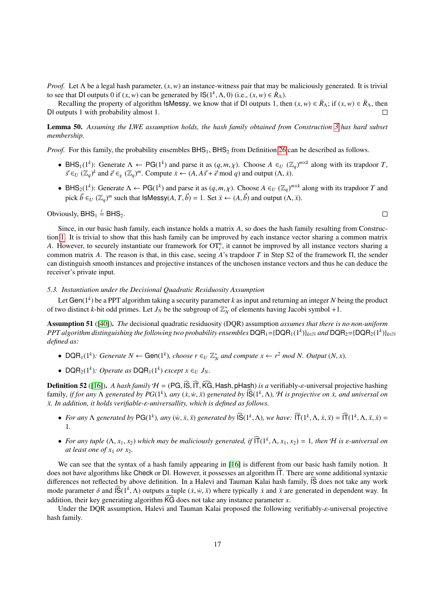*Proof.* Let <sup>Λ</sup> be a legal hash parameter, (*x*,*w*) an instance-witness pair that may be maliciously generated. It is trivial to see that DI outputs 0 if  $(x, w)$  can be generated by  $\mathsf{IS}(1^k, \Lambda, 0)$  (i.e.,  $(x, w) \in \mathbb{R}_{\Lambda}$ ).<br>Recalling the property of algorithm IsMessy, we know that if DI outputs 1, the

Recalling the property of algorithm IsMessy, we know that if DI outputs 1, then  $(x, w) \in \mathring{R}_{\Lambda}$ ; if  $(x, w) \in \mathring{R}_{\Lambda}$ , then with probability almost 1 DI outputs 1 with probability almost 1.

Lemma 50. *Assuming the LWE assumption holds, the hash family obtained from Construction [3](#page-15-0) has hard subset membership.*

*Proof.* For this family, the probability ensembles  $BHS_1$ ,  $BHS_2$  from Definition [26](#page-7-4) can be described as follows.

- BHS<sub>1</sub>(1<sup>k</sup>): Generate  $\Lambda \leftarrow \text{PG}(1^k)$  and parse it as  $(q, m, \chi)$ . Choose  $A \in U(\mathbb{Z}_q)^{m \times k}$  along with its trapdoor *T*,<br>  $\vec{\kappa} \in U(\mathbb{Z}_q)^k$  and  $\vec{\kappa} \in (\mathbb{Z}_q)^m$ . Compute  $\kappa \in (A \land \vec{\kappa} + \vec{\kappa} \mod q)$  and output  $\vec{s} \in U$  ( $\mathbb{Z}_q$ )<sup>k</sup> and  $\vec{e} \in \mathbb{Z}_q$  ( $\mathbb{Z}_q$ )<sup>m</sup>. Compute  $\dot{x} \leftarrow (A, A\vec{s} + \vec{e} \mod q)$  and output  $(\Lambda, \dot{x})$ .
- BHS<sub>2</sub>(1<sup>k</sup>): Generate  $\Lambda \leftarrow PG(1^k)$  and parse it as  $(q, m, \chi)$ . Choose  $A \in U(\mathbb{Z}_q)^{m \times k}$  along with its trapdoor *T* and  $\mathbb{Z}_p^k \in C(\mathbb{Z}_q)^m$  with  $\mathbb{Z}_p^k$  and  $\mathbb{Z}_p^k$  and  $\mathbb{Z}_p^k$  and  $\mathbb{Z}_p^k$  and  $\$ pick  $\vec{b} \in U$  ( $\mathbb{Z}_q$ )<sup>*m*</sup> such that IsMessy(*A*, *T*,  $\vec{b}$ ) = 1. Set  $\ddot{x} \leftarrow (A, \vec{b})$  and output ( $\Lambda$ ,  $\ddot{x}$ ).

Obviously,  $BHS_1 \stackrel{c}{=} BHS_2$ .

 $\Box$ 

Since, in our basic hash family, each instance holds a matrix *A*, so does the hash family resulting from Construction [1.](#page-7-0) It is trivial to show that this hash family can be improved by each instance vector sharing a common matrix *A*. However, to securely instantiate our framework for  $OT_t^n$ , it cannot be improved by all instance vectors sharing a common matrix *A*. The reason is that, in this case, seeing *A*'s trapdoor *T* in Step S2 of the framework Π, the sender can distinguish smooth instances and projective instances of the unchosen instance vectors and thus he can deduce the receiver's private input.

### <span id="page-16-0"></span>*5.3. Instantiation under the Decisional Quadratic Residuosity Assumption*

Let Gen(1*<sup>k</sup>* ) be a PPT algorithm taking a security parameter *k* as input and returning an integer *N* being the product of two distinct *k*-bit odd primes. Let  $J_N$  be the subgroup of  $\mathbb{Z}_N^*$  of elements having Jacobi symbol +1.

Assumption 51 ([\[40\]](#page-19-29)). *The* decisional quadratic residuosity (DQR) assumption *assumes that there is no non-uniform*  $PPT$  algorithm distinguishing the following two probability ensembles  $\textsf{DQR}_1$ ={ $\textsf{DQR}_1(1^k)$ }<sub>k∈N</sub> and  $\textsf{DQR}_2$ ={ $\textsf{DQR}_2(1^k)$ }<sub>k∈N</sub> *defined as:*

- DQR<sub>1</sub>(1<sup>k</sup>): Generate  $N \leftarrow$  Gen(1<sup>k</sup>), choose  $r \in U \mathbb{Z}_N^*$  and compute  $x \leftarrow r^2 \mod N$ . Output  $(N, x)$ .
- DQR<sub>2</sub>(1<sup>k</sup>): Operate as DQR<sub>1</sub>(1<sup>k</sup>) except  $x \in U$   $J_N$ .

**Definition 52** ([\[16\]](#page-19-5)). *A hash family*  $H = (PG, \widehat{IS}, \widehat{T}, \widehat{KG},$  Hash, pHash) *is a* verifiably-*ε*-universal projective hashing family, *if for any* Λ *generated by PG*(1<sup>*k*</sup>), any (*x*, *w*̀, *x*̃) *generated by*  $\overline{S}(1^k, \Lambda)$ , *H is projective on <i>x*, and universal on *x*<sup>*x*</sup> *In addition it holds verifiable-s-universallity which is defin*  $x$ . In addition, it holds verifiable-ε-universallity, which is defined as follows.

- For any  $\Lambda$  generated by PG(1<sup>k</sup>), any (w, x, x) generated by  $\widehat{\mathsf{IS}}(1^k, \Lambda)$ , we have:  $\widehat{\mathsf{IT}}(1^k, \Lambda, \dot{x}, \ddot{x}) = \widehat{\mathsf{IT}}(1^k, \Lambda, \ddot{x}, \dot{x}) =$ 1*.*
- For any tuple  $(\Lambda, x_1, x_2)$  which may be maliciously generated, if  $\widehat{\Pi}(1^k, \Lambda, x_1, x_2) = 1$ , then H is  $\varepsilon$ -universal on at least one of  $x_1$  or  $x_2$ *at least one of*  $x_1$  *or*  $x_2$ *.*

We can see that the syntax of a hash family appearing in [\[16\]](#page-19-5) is different from our basic hash family notion. It does not have algorithms like Check or DI. However, it possesses an algorithm  $|\mathbf{T}|$ . There are some additional syntaxic differences not reflected by above definition. In a Halevi and Tauman Kalai hash family, IS does not take any work mode parameter δ and  $\widehat{S}(1^k, \Lambda)$  outputs a tuple  $(\dot{x}, \dot{w}, \ddot{x})$  where typically  $\dot{x}$  and  $\ddot{x}$  are generated in dependent way. In addition, their less generating algorithm  $\widehat{KG}$  does not take any instance pa addition, their key generating algorithm  $\widehat{KG}$  does not take any instance parameter *x*.

Under the DQR assumption, Halevi and Tauman Kalai proposed the following verifiably-ε-universal projective hash family.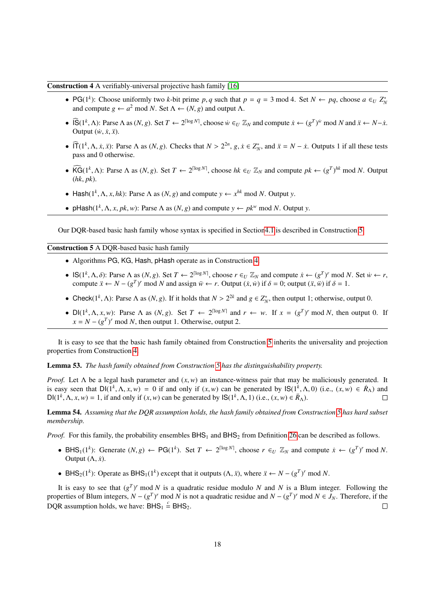## <span id="page-17-1"></span>Construction 4 A verifiably-universal projective hash family [\[16\]](#page-19-5)

- PG(1<sup>k</sup>): Choose uniformly two *k*-bit prime *p*, *q* such that  $p = q = 3 \text{ mod } 4$ . Set  $N \leftarrow pq$ , choose  $a \in U Z_N^*$  and compute  $q \leftarrow a^2 \text{ mod } N$ . Set  $\Lambda \leftarrow (N, q)$  and output  $\Lambda$ and compute  $g \leftarrow a^2 \mod N$ . Set  $\Lambda \leftarrow (N, g)$  and output  $\Lambda$ .
- $\widehat{IS}(1^k, \Lambda)$ : Parse  $\Lambda$  as  $(N, g)$ . Set  $T \leftarrow 2^{\lceil \log N \rceil}$ , choose  $\dot{w} \in U \mathbb{Z}_N$  and compute  $\dot{x} \leftarrow (g^T)^{\dot{w}}$  mod  $N$  and  $\ddot{x} \leftarrow N \dot{x}$ .<br>Output  $(\dot{w} \dot{x} \ddot{w})$ Output  $(w, \dot{x}, \ddot{x})$ .
- $\widehat{\Pi}(1^k, \Lambda, \dot{x}, \ddot{x})$ : Parse  $\Lambda$  as  $(N, g)$ . Checks that  $N > 2^{2n}$ ,  $g, \dot{x} \in Z_N^*$ , and  $\ddot{x} = N \dot{x}$ . Outputs 1 if all these tests pass and 0 otherwise pass and 0 otherwise.
- $\widehat{\text{KG}}(1^k, \Lambda)$ : Parse  $\Lambda$  as  $(N, g)$ . Set  $T \leftarrow 2^{\lceil \log N \rceil}$ , choose  $hk \in U \mathbb{Z}_N$  and compute  $pk \leftarrow (g^T)^{hk} \mod N$ . Output  $(hk, nk)$ (*hk*, *pk*).
- Hash( $1^k$ ,  $\Lambda$ ,  $x$ ,  $hk$ ): Parse  $\Lambda$  as  $(N, g)$  and compute  $y \leftarrow x^{hk}$  mod  $N$ . Output  $y$ .
- pHash( $1^k$ ,  $\Lambda$ , *x*,  $pk$ , *w*): Parse  $\Lambda$  as  $(N, g)$  and compute  $y \leftarrow pk^w \mod N$ . Output *y*.

Our DQR-based basic hash family whose syntax is specified in Sectio[n4.1](#page-6-2) is described in Construction [5.](#page-17-0)

## <span id="page-17-0"></span>Construction 5 A DQR-based basic hash family

- Algorithms PG, KG, Hash, pHash operate as in Construction [4.](#page-17-1)
- IS(1<sup>*k*</sup>,  $\Lambda$ , δ): Parse  $\Lambda$  as (*N*, *g*). Set *T* ← 2<sup>[log *N*</sup>, choose *r* ∈*U*  $\mathbb{Z}_N$  and compute  $\dot{x}$  ← (*g<sup>T</sup>*)<sup>*r*</sup> mod *N*. Set  $\dot{w}$  ← *r*, compute  $\ddot{x}$  ← *N* − (*g<sup>T</sup>*)<sup>*r*</sup> mod *N* and assign compute  $\ddot{x} \leftarrow N - (g^T)^r \text{ mod } N$  and assign  $\ddot{w} \leftarrow r$ . Output  $(\dot{x}, \dot{w})$  if  $\delta = 0$ ; output  $(\ddot{x}, \ddot{w})$  if  $\delta = 1$ .
- Check( $1^k$ ,  $\Lambda$ ): Parse  $\Lambda$  as  $(N, g)$ . If it holds that  $N > 2^{2k}$  and  $g \in Z_N^*$ , then output 1; otherwise, output 0.
- $Dl(1^k, \Lambda, x, w)$ : Parse  $\Lambda$  as  $(N, g)$ . Set  $T \leftarrow 2^{\lceil \log N \rceil}$  and  $r \leftarrow w$ . If  $x = (g^T)^r \mod N$ , then output 0. If  $x = N (g^T)^r \mod N$  then output 1. Otherwise output 2.  $x = N - (g<sup>T</sup>)<sup>r</sup>$  mod *N*, then output 1. Otherwise, output 2.

It is easy to see that the basic hash family obtained from Construction [5](#page-17-0) inherits the universality and projection properties from Construction [4.](#page-17-1)

Lemma 53. *The hash family obtained from Construction [5](#page-17-0) has the distinguishability property.*

*Proof.* Let  $\Lambda$  be a legal hash parameter and  $(x, w)$  an instance-witness pair that may be maliciously generated. It is easy seen that  $DI(1^k, \Lambda, x, w) = 0$  if and only if  $(x, w)$  can be generated by  $IS(1^k, \Lambda, 0)$  (i.e.,  $(x, w) \in R_\Lambda$ ) and  $DI(1^k, \Lambda, x, w) = 1$  if and only if  $(x, w)$  can be generated by  $IS(1^k, \Lambda, 1)$  (i.e.,  $(x, w) \in R_\Lambda$ ) DI( $1^k$ ,  $\Lambda$ ,  $x$ ,  $w$ ) = 1, if and only if  $(x, w)$  can be generated by  $\mathsf{IS}(1^k, \Lambda, 1)$  (i.e.,  $(x, w) \in \mathbb{R}_{\Lambda}$ ).

Lemma 54. *Assuming that the DQR assumption holds, the hash family obtained from Construction [5](#page-17-0) has hard subset membership.*

*Proof.* For this family, the probability ensembles  $BHS_1$  and  $BHS_2$  from Definition [26](#page-7-4) can be described as follows.

- BHS<sub>1</sub>(1<sup>*k*</sup>): Generate (*N*, *g*) ← PG(1<sup>*k*</sup>). Set *T* ← 2<sup>[log *N*], choose *r* ∈<sub>*U*</sub>  $\mathbb{Z}_N$  and compute  $\dot{x}$  ← ( $g^T$ )<sup>*r*</sup> mod *N*.</sup> Output  $(\Lambda, \dot{x})$ .
- BHS<sub>2</sub>(1<sup>*k*</sup>): Operate as BHS<sub>1</sub>(1<sup>*k*</sup>) except that it outputs (Λ, *x*̄), where  $\ddot{x}$  ←  $N (g<sup>T</sup>)<sup>r</sup>$  mod *N*.

It is easy to see that  $(g<sup>T</sup>)<sup>r</sup>$  mod *N* is a quadratic residue modulo *N* and *N* is a Blum integer. Following the properties of Blum integers,  $N - (g^T)^r \mod N$  is not a quadratic residue and  $N - (g^T)^r \mod N \in J_N$ . Therefore, if the DQR assumption holds, we have:  $BHS_1 \stackrel{c}{=} BHS_2$ .  $\Box$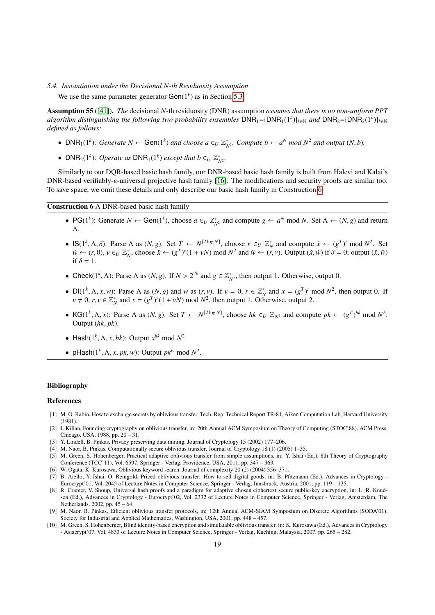## *5.4. Instantiation under the Decisional N-th Residuosity Assumption*

We use the same parameter generator  $Gen(1<sup>k</sup>)$  as in Section [5.3.](#page-16-0)

Assumption 55 ([\[41\]](#page-19-30)). *The* decisional *N*-th residuosity (DNR) assumption *assumes that there is no non-uniform PPT*  $a$ lgorithm distinguishing the following two probability ensembles  $DNR_1 = \{DNR_1(1^k)\}_{k\in\mathbb{N}}$  and  $DNR_2 = \{DNR_2(1^k)\}_{k\in\mathbb{N}}$ *defined as follows:*

- DNR<sub>1</sub>(1<sup>k</sup>): Generate  $N \leftarrow$  Gen(1<sup>k</sup>) and choose  $a \in U \mathbb{Z}_{N^2}^*$ . Compute  $b \leftarrow a^N \mod N^2$  and output  $(N, b)$ .
- DNR<sub>2</sub>(1<sup>k</sup>): Operate as DNR<sub>1</sub>(1<sup>k</sup>) except that  $b \in U \mathbb{Z}_{N^2}^*$ .

Similarly to our DQR-based basic hash family, our DNR-based basic hash family is built from Halevi and Kalai's DNR-based verifiably-ε-universal projective hash family [\[16\]](#page-19-5). The modifications and security proofs are similar too. To save space, we omit these details and only describe our basic hash family in Construction [6.](#page-18-10)

<span id="page-18-10"></span>Construction 6 A DNR-based basic hash family

- PG(1<sup>k</sup>): Generate  $N \leftarrow$  Gen(1<sup>k</sup>), choose  $a \in U Z_{N^2}^*$  and compute  $g \leftarrow a^N \mod N$ . Set  $\Lambda \leftarrow (N, g)$  and return Λ.
- $\mathsf{IS}(1^k, \Lambda, \delta)$ : Parse  $\Lambda$  as  $(N, g)$ . Set  $T \leftarrow N^{[2\log N]}$ , choose  $r \in U \mathbb{Z}_N^*$  and compute  $\dot{x} \leftarrow (g^T)^r \mod N^2$ . Set  $\dot{y} \leftarrow (r, 0)$ ,  $y \in U \mathbb{Z}^*$ , choose  $\ddot{y} \leftarrow (g^T)^r (1 + y)$  mod  $N^2$  and  $\ddot{y} \leftarrow (r, y)$ .  $\dot{w} \leftarrow (r, 0), v \in_U \mathbb{Z}_N^*$ , choose  $\ddot{x} \leftarrow (g^T)^r (1 + vN) \text{ mod } N^2$  and  $\ddot{w} \leftarrow (r, v)$ . Output  $(\dot{x}, \dot{w})$  if  $\delta = 0$ ; output  $(\ddot{x}, \ddot{w})$ if  $\delta = 1$ .
- Check( $1^k$ ,  $\Lambda$ ): Parse  $\Lambda$  as  $(N, g)$ . If  $N > 2^{2k}$  and  $g \in \mathbb{Z}_{N^2}^*$ , then output 1. Otherwise, output 0.
- $D[(1^k, \Lambda, x, w)]$ : Parse  $\Lambda$  as  $(N, g)$  and w as  $(r, v)$ . If  $v = 0$ ,  $r \in \mathbb{Z}_N^*$  and  $x = (g^T)^r \mod N^2$ , then output 0. If  $v \neq 0$ ,  $r, v \in \mathbb{Z}^*$  and  $r = (g^T)^r (1 + v)$  mod  $N^2$  then output 1. Otherwise, output 2  $v \neq 0$ ,  $r, v \in \mathbb{Z}_N^*$  and  $x = (g^T)^r (1 + vN) \text{ mod } N^2$ , then output 1. Otherwise, output 2.
- KG( $1^k$ ,  $\Lambda$ , *x*): Parse  $\Lambda$  as  $(N, g)$ . Set  $T \leftarrow N^{[2\log N]}$ , choose  $hk \in U \mathbb{Z}_{N^2}$  and compute  $pk \leftarrow (g^T)^{hk} \mod N^2$ .<br>Output  $(hk, nk)$ Output (*hk*, *pk*).
- Hash $(1^k, \Lambda, x, hk)$ : Output  $x^{hk}$  mod  $N^2$ .
- pHash( $1^k$ ,  $\Lambda$ ,  $x$ ,  $pk$ ,  $w$ ): Output  $pk^w$  mod  $N^2$ .

### Bibliography

### References

- <span id="page-18-0"></span>[1] M. O. Rabin, How to exchange secrets by oblivious transfer, Tech. Rep. Technical Report TR-81, Aiken Computation Lab, Harvard University (1981).
- <span id="page-18-1"></span>[2] J. Kilian, Founding cryptography on oblivious transfer, in: 20th Annual ACM Symposium on Theory of Computing (STOC'88), ACM Press, Chicago, USA, 1988, pp. 20 – 31.
- <span id="page-18-2"></span>[3] Y. Lindell, B. Pinkas, Privacy preserving data mining, Journal of Cryptology 15 (2002) 177–206.
- <span id="page-18-3"></span>[4] M. Naor, B. Pinkas, Computationally secure oblivious transfer, Journal of Cryptology 18 (1) (2005) 1–35.
- <span id="page-18-4"></span>[5] M. Green, S. Hohenberger, Practical adaptive oblivious transfer from simple assumptions, in: Y. Ishai (Ed.), 8th Theory of Cryptography Conference (TCC'11), Vol. 6597, Springer - Verlag, Providence, USA, 2011, pp. 347 – 363.
- <span id="page-18-5"></span>[6] W. Ogata, K. Kurosawa, Oblivious keyword search, Journal of complexity 20 (2) (2004) 356–371.
- <span id="page-18-6"></span>[7] B. Aiello, Y. Ishai, O. Reingold, Priced oblivious transfer: How to sell digital goods, in: B. Pfitzmann (Ed.), Advances in Cryptology - Eurocrypt'01, Vol. 2045 of Lecture Notes in Computer Science, Springer - Verlag, Innsbruck, Austria, 2001, pp. 119 – 135.
- <span id="page-18-7"></span>[8] R. Cramer, V. Shoup, Universal hash proofs and a paradigm for adaptive chosen ciphertext secure public-key encryption, in: L. R. Knudsen (Ed.), Advances in Cryptology - Eurocrypt'02, Vol. 2332 of Lecture Notes in Computer Science, Springer - Verlag, Amsterdam, The Netherlands, 2002, pp. 45 – 64.
- <span id="page-18-8"></span>[9] M. Naor, B. Pinkas, Efficient oblivious transfer protocols, in: 12th Annual ACM-SIAM Symposium on Discrete Algorithms (SODA'01), Society for Industrial and Applied Mathematics, Washington, USA, 2001, pp. 448 – 457.
- <span id="page-18-9"></span>[10] M. Green, S. Hohenberger, Blind identity-based encryption and simulatable oblivious transfer, in: K. Kurosawa (Ed.), Advances in Cryptology - Asiacrypt'07, Vol. 4833 of Lecture Notes in Computer Science, Springer - Verlag, Kuching, Malaysia, 2007, pp. 265 – 282.